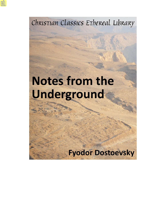Christian Classics Ethereal Library

# **Notes from the** Underground

# **Fyodor Dostoevsky**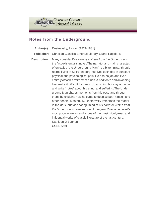Christian Classics<br>Ethereal Library

#### **Notes from the Underground**

- **Author(s):** Dostoevsky, Fyodor (1821-1881)
- **Publisher:** Christian Classics Ethereal Library, Grand Rapids, MI
- **Description:** Many consider Dostoevsky's *Notes from the Underground* the first existentialist novel.The narrator and main character, often called "the Underground Man," is a bitter, misanthropic retiree living in St. Petersburg. He lives each day in constant physical and psychological pain. He has no job and lives entirely off of his retirement funds. A bad tooth and an aching liver make it difficult for him to do anything but stay at home and write "notes" about his ennui and suffering. The Underground Man shares moments from his past, and through them, he explains how he came to despise both himself and other people. Masterfully, Dostoevsky immerses the reader in the dark, but fascinating, mind of his narrator. *Notes from the Underground* remains one of the great Russian novelist's most popular works and is one of the most widely-read and influential works of classic literature of the last century. Kathleen O'Bannon CCEL Staff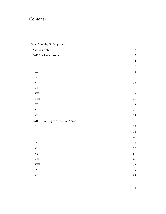## Contents

| Notes from the Underground        | $\,1$          |
|-----------------------------------|----------------|
| Author's Note                     | $\overline{c}$ |
| PART I - Underground              | $\mathfrak{Z}$ |
| I.                                | $\bf 4$        |
| $\rm{II}.$                        | 6              |
| III.                              | $\,8\,$        |
| IV.                               | $11\,$         |
| $\mathbf V.$                      | 13             |
| VI.                               | 15             |
| VII.                              | $16\,$         |
| VIII.                             | 20             |
| IX.                               | 24             |
| X.                                | 26             |
| XI.                               | 28             |
| PART I - A Propos of the Wet Snow | 31             |
| ${\bf I}.$                        | 32             |
| II.                               | 33             |
| III.                              | $41\,$         |
| IV.                               | $\bf 48$       |
| $\mathbf V.$                      | 55             |
| VI.                               | 59             |
| VII.                              | 67             |
| VIII.                             | 72             |
| IX.                               | 79             |
| X.                                | 84             |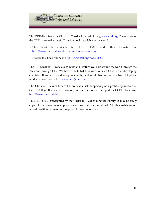

This PDF file is from the Christian Classics Ethereal Library, [www.ccel.org.](http://www.ccel.org) The mission of the CCEL is to make classic Christian books available to the world.

- This book is available in PDF, HTML, and other formats. See <http://www.ccel.org/ccel/dostoevsky/undernotes.html>.
- Discuss this book online at [http://www.ccel.org/node/5620.](http://www.ccel.org/node/5620)

The CCEL makes CDs of classic Christian literature available around the world through the Web and through CDs. We have distributed thousands of such CDs free in developing countries. If you are in a developing country and would like to receive a free CD, please send a request by email to [cd-request@ccel.org.](mailto:cd-request@ccel.org)

The Christian Classics Ethereal Library is a self supporting non-profit organization at Calvin College. If you wish to give of your time or money to support the CCEL, please visit [http://www.ccel.org/give.](http://www.ccel.org/give)

This PDF file is copyrighted by the Christian Classics Ethereal Library. It may be freely copied for non-commercial purposes as long as it is not modified. All other rights are reserved. Written permission is required for commercial use.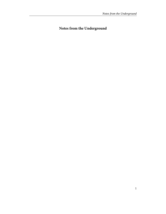### <span id="page-4-0"></span>**Notes from the Underground**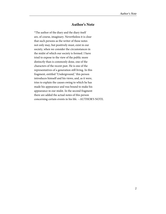#### **Author's Note**

<span id="page-5-0"></span>\*The author of the diary and the diary itself are, of course, imaginary. Nevertheless it is clear that such persons as the writer of these notes not only may, but positively must, exist in our society, when we consider the circumstances in the midst of which our society is formed. I have tried to expose to the view of the public more distinctly than is commonly done, one of the characters of the recent past. He is one of the representatives of a generation still living. In this fragment, entitled "Underground," this person introduces himself and his views, and, as it were, tries to explain the causes owing to which he has made his appearance and was bound to make his appearance in our midst. In the second fragment there are added the actual notes of this person concerning certain events in his life. --AUTHOR'S NOTE.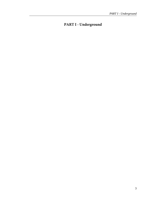#### <span id="page-6-0"></span>**PART I - Underground**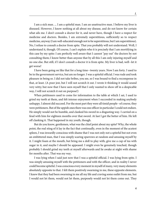<span id="page-7-0"></span>I am a sick man. ... I am a spiteful man. I am an unattractive man. I believe my liver is diseased. However, I know nothing at all about my disease, and do not know for certain what ails me. I don't consult a doctor for it, and never have, though I have a respect for medicine and doctors. Besides, I am extremely superstitious, sufficiently so to respect medicine, anyway (I am well-educated enough not to be superstitious, but I am superstitious). No, I refuse to consult a doctor from spite. That you probably will not understand. Well, I understand it, though. Of course, I can't explain who it is precisely that I am mortifying in this case by my spite: I am perfectly well aware that I cannot "pay out" the doctors by not consulting them; I know better than anyone that by all this I am only injuring myself and no one else. But still, if I don't consult a doctor it is from spite. My liver is bad, well--let it get worse!

I have been going on like that for a long time--twenty years. Now I am forty. I used to be in the government service, but am no longer. I was a spiteful official. I was rude and took pleasure in being so. I did not take bribes, you see, so I was bound to find a recompense in that, at least. (A poor jest, but I will not scratch it out. I wrote it thinking it would sound very witty; but now that I have seen myself that I only wanted to show off in a despicable way, I will not scratch it out on purpose!)

When petitioners used to come for information to the table at which I sat, I used to grind my teeth at them, and felt intense enjoyment when I succeeded in making anybody unhappy. I almost did succeed. For the most part they were all timid people--of course, they were petitioners. But of the uppish ones there was one officer in particular I could not endure. He simply would not be humble, and clanked his sword in a disgusting way. I carried on a feud with him for eighteen months over that sword. At last I got the better of him. He left off clanking it. That happened in my youth, though.

But do you know, gentlemen, what was the chief point about my spite? Why, the whole point, the real sting of it lay in the fact that continually, even in the moment of the acutest spleen, I was inwardly conscious with shame that I was not only not a spiteful but not even an embittered man, that I was simply scaring sparrows at random and amusing myself by it. I might foam at the mouth, but bring me a doll to play with, give me a cup of tea with sugar in it, and maybe I should be appeased. I might even be genuinely touched, though probably I should grind my teeth at myself afterwards and lie awake at night with shame for months after. That was my way.

I was lying when I said just now that I was a spiteful official. I was lying from spite. I was simply amusing myself with the petitioners and with the officer, and in reality I never could become spiteful. I was conscious every moment in myself of many, very many elements absolutely opposite to that. I felt them positively swarming in me, these opposite elements. I knew that they had been swarming in me all my life and craving some outlet from me, but I would not let them, would not let them, purposely would not let them come out. They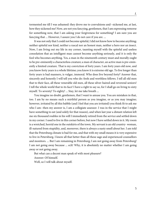It was not only that I could not become spiteful, I did not know how to become anything; neither spiteful nor kind, neither a rascal nor an honest man, neither a hero nor an insect. Now, I am living out my life in my corner, taunting myself with the spiteful and useless consolation that an intelligent man cannot become anything seriously, and it is only the fool who becomes anything. Yes, a man in the nineteenth century must and morally ought to be pre-eminently a characterless creature; a man of character, an active man is pre-eminently a limited creature. That is my conviction of forty years. I am forty years old now, and you know forty years is a whole lifetime; you know it is extreme old age. To live longer than forty years is bad manners, is vulgar, immoral. Who does live beyond forty? Answer that, sincerely and honestly I will tell you who do: fools and worthless fellows. I tell all old men that to their face, all these venerable old men, all these silver-haired and reverend seniors! I tell the whole world that to its face! I have a right to say so, for I shall go on living to sixty myself. To seventy! To eighty! ... Stay, let me take breath ...

You imagine no doubt, gentlemen, that I want to amuse you. You are mistaken in that, too. I am by no means such a mirthful person as you imagine, or as you may imagine; however, irritated by all this babble (and I feel that you are irritated) you think fit to ask me who I am--then my answer is, I am a collegiate assessor. I was in the service that I might have something to eat (and solely for that reason), and when last year a distant relation left me six thousand roubles in his will I immediately retired from the service and settled down in my corner. I used to live in this corner before, but now I have settled down in it. My room is a wretched, horrid one in the outskirts of the town. My servant is an old country- woman, ill-natured from stupidity, and, moreover, there is always a nasty smell about her. I am told that the Petersburg climate is bad for me, and that with my small means it is very expensive to live in Petersburg. I know all that better than all these sage and experienced counsellors and monitors. ... But I am remaining in Petersburg; I am not going away from Petersburg! I am not going away because ... ech! Why, it is absolutely no matter whether I am going away or not going away.

But what can a decent man speak of with most pleasure?

Answer: Of himself.

Well, so I will talk about myself.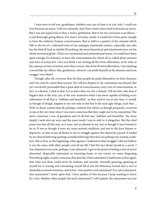<span id="page-9-0"></span>I want now to tell you, gentlemen, whether you care to hear it or not, why I could not even become an insect. I tell you solemnly, that I have many times tried to become an insect. But I was not equal even to that. I swear, gentlemen, that to be too conscious is an illness- a real thorough-going illness. For man's everyday needs, it would have been quite enough to have the ordinary human consciousness, that is, half or a quarter of the amount which falls to the lot of a cultivated man of our unhappy nineteenth century, especially one who has the fatal ill-luck to inhabit Petersburg, the most theoretical and intentional town on the whole terrestrial globe. (There are intentional and unintentional towns.) It would have been quite enough, for instance, to have the consciousness by which all so-called direct persons and men of action live. I bet you think I am writing all this from affectation, to be witty at the expense of men of action; and what is more, that from ill-bred affectation, I am clanking a sword like my officer. But, gentlemen, whoever can pride himself on his diseases and even swagger over them?

Though, after all, everyone does do that; people do pride themselves on their diseases, and I do, may be, more than anyone. We will not dispute it; my contention was absurd. But yet I am firmly persuaded that a great deal of consciousness, every sort of consciousness, in fact, is a disease. I stick to that. Let us leave that, too, for a minute. Tell me this: why does it happen that at the very, yes, at the very moments when I am most capable of feeling every refinement of all that is "sublime and beautiful," as they used to say at one time, it would, as though of design, happen to me not only to feel but to do such ugly things, such that ... Well, in short, actions that all, perhaps, commit; but which, as though purposely, occurred to me at the very time when I was most conscious that they ought not to be committed. The more conscious I was of goodness and of all that was "sublime and beautiful," the more deeply I sank into my mire and the more ready I was to sink in it altogether. But the chief point was that all this was, as it were, not accidental in me, but as though it were bound to be so. It was as though it were my most normal condition, and not in the least disease or depravity, so that at last all desire in me to struggle against this depravity passed. It ended by my almost believing (perhaps actually believing) that this was perhaps my normal condition. But at first, in the beginning, what agonies I endured in that struggle! I did not believe it was the same with other people, and all my life I hid this fact about myself as a secret. I was ashamed (even now, perhaps, I am ashamed): I got to the point of feeling a sort of secret abnormal, despicable enjoyment in returning home to my corner on some disgusting Petersburg night, acutely conscious that that day I had committed a loathsome action again, that what was done could never be undone, and secretly, inwardly gnawing, gnawing at myself for it, tearing and consuming myself till at last the bitterness turned into a sort of shameful accursed sweetness, and at last--into positive real enjoyment! Yes, into enjoyment, into enjoyment! I insist upon that. I have spoken of this because I keep wanting to know for a fact whether other people feel such enjoyment? I will explain; the enjoyment was just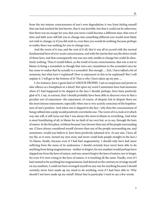from the too intense consciousness of one's own degradation; it was from feeling oneself that one had reached the last barrier, that it was horrible, but that it could not be otherwise; that there was no escape for you; that you never could become a different man; that even if time and faith were still left you to change into something different you would most likely not wish to change; or if you did wish to, even then you would do nothing; because perhaps in reality there was nothing for you to change into.

And the worst of it was, and the root of it all, that it was all in accord with the normal fundamental laws of over-acute consciousness, and with the inertia that was the direct result of those laws, and that consequently one was not only unable to change but could do absolutely nothing. Thus it would follow, as the result of acute consciousness, that one is not to blame in being a scoundrel; as though that were any consolation to the scoundrel once he has come to realise that he actually is a scoundrel. But enough. ... Ech, I have talked a lot of nonsense, but what have I explained? How is enjoyment in this to be explained? But I will explain it. I will get to the bottom of it! That is why I have taken up my pen. ...

I, for instance, have a great deal of AMOUR PROPRE. I am as suspicious and prone to take offence as a humpback or a dwarf. But upon my word I sometimes have had moments when if I had happened to be slapped in the face I should, perhaps, have been positively glad of it. I say, in earnest, that I should probably have been able to discover even in that a peculiar sort of enjoyment--the enjoyment, of course, of despair; but in despair there are the most intense enjoyments, especially when one is very acutely conscious of the hopelessness of one's position. And when one is slapped in the face--why then the consciousness of being rubbed into a pulp would positively overwhelm one. The worst of it is, look at it which way one will, it still turns out that I was always the most to blame in everything. And what is most humiliating of all, to blame for no fault of my own but, so to say, through the laws of nature. In the first place, to blame because I am cleverer than any of the people surrounding me. (I have always considered myself cleverer than any of the people surrounding me, and sometimes, would you believe it, have been positively ashamed of it. At any rate, I have all my life, as it were, turned my eyes away and never could look people straight in the face.) To blame, finally, because even if I had had magnanimity, I should only have had more suffering from the sense of its uselessness. I should certainly have never been able to do anything from being magnanimous--neither to forgive, for my assailant would perhaps have slapped me from the laws of nature, and one cannot forgive the laws of nature; nor to forget, for even if it were owing to the laws of nature, it is insulting all the same. Finally, even if I had wanted to be anything but magnanimous, had desired on the contrary to revenge myself on my assailant, I could not have revenged myself on any one for anything because I should certainly never have made up my mind to do anything, even if I had been able to. Why should I not have made up my mind? About that in particular I want to say a few words.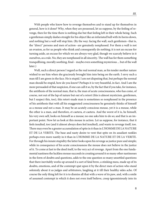<span id="page-11-0"></span>With people who know how to revenge themselves and to stand up for themselves in general, how is it done? Why, when they are possessed, let us suppose, by the feeling of revenge, then for the time there is nothing else but that feeling left in their whole being. Such a gentleman simply dashes straight for his object like an infuriated bull with its horns down, and nothing but a wall will stop him. (By the way: facing the wall, such gentlemen--that is, the "direct" persons and men of action--are genuinely nonplussed. For them a wall is not an evasion, as for us people who think and consequently do nothing; it is not an excuse for turning aside, an excuse for which we are always very glad, though we scarcely believe in it ourselves, as a rule. No, they are nonplussed in all sincerity. The wall has for them something tranquillising, morally soothing, final-- maybe even something mysterious ... but of the wall later.)

Well, such a direct person I regard as the real normal man, as his tender mother nature wished to see him when she graciously brought him into being on the earth. I envy such a man till I am green in the face. He is stupid. I am not disputing that, but perhaps the normal man should be stupid, how do you know? Perhaps it is very beautiful, in fact. And I am the more persuaded of that suspicion, if one can call it so, by the fact that if you take, for instance, the antithesis of the normal man, that is, the man of acute consciousness, who has come, of course, not out of the lap of nature but out of a retort (this is almost mysticism, gentlemen, but I suspect this, too), this retort-made man is sometimes so nonplussed in the presence of his antithesis that with all his exaggerated consciousness he genuinely thinks of himself as a mouse and not a man. It may be an acutely conscious mouse, yet it is a mouse, while the other is a man, and therefore, et caetera, et caetera. And the worst of it is, he himself, his very own self, looks on himself as a mouse; no one asks him to do so; and that is an important point. Now let us look at this mouse in action. Let us suppose, for instance, that it feels insulted, too (and it almost always does feel insulted), and wants to revenge itself, too. There may even be a greater accumulation of spite in it than in L'HOMME DE LA NATURE ET DE LA VERITE. The base and nasty desire to vent that spite on its assailant rankles perhaps even more nastily in it than in L'HOMME DE LA NATURE ET DE LA VERITE. For through his innate stupidity the latter looks upon his revenge as justice pure and simple; while in consequence of his acute consciousness the mouse does not believe in the justice of it. To come at last to the deed itself, to the very act of revenge. Apart from the one fundamental nastiness the luckless mouse succeeds in creating around it so many other nastinesses in the form of doubts and questions, adds to the one question so many unsettled questions that there inevitably works up around it a sort of fatal brew, a stinking mess, made up of its doubts, emotions, and of the contempt spat upon it by the direct men of action who stand solemnly about it as judges and arbitrators, laughing at it till their healthy sides ache. Of course the only thing left for it is to dismiss all that with a wave of its paw, and, with a smile of assumed contempt in which it does not even itself believe, creep ignominiously into its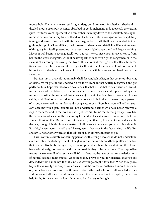mouse-hole. There in its nasty, stinking, underground home our insulted, crushed and ridiculed mouse promptly becomes absorbed in cold, malignant and, above all, everlasting spite. For forty years together it will remember its injury down to the smallest, most ignominious details, and every time will add, of itself, details still more ignominious, spitefully teasing and tormenting itself with its own imagination. It will itself be ashamed of its imaginings, but yet it will recall it all, it will go over and over every detail, it will invent unheard of things against itself, pretending that those things might happen, and will forgive nothing. Maybe it will begin to revenge itself, too, but, as it were, piecemeal, in trivial ways, from behind the stove, incognito, without believing either in its own right to vengeance, or in the success of its revenge, knowing that from all its efforts at revenge it will suffer a hundred times more than he on whom it revenges itself, while he, I daresay, will not even scratch himself. On its deathbed it will recall it all over again, with interest accumulated over all the years and ...

But it is just in that cold, abominable half despair, half belief, in that conscious burying oneself alive for grief in the underworld for forty years, in that acutely recognised and yet partly doubtful hopelessness of one's position, in that hell of unsatisfied desires turned inward, in that fever of oscillations, of resolutions determined for ever and repented of again a minute later--that the savour of that strange enjoyment of which I have spoken lies. It is so subtle, so difficult of analysis, that persons who are a little limited, or even simply persons of strong nerves, will not understand a single atom of it. "Possibly," you will add on your own account with a grin, "people will not understand it either who have never received a slap in the face," and in that way you will politely hint to me that I, too, perhaps, have had the experience of a slap in the face in my life, and so I speak as one who knows. I bet that you are thinking that. But set your minds at rest, gentlemen, I have not received a slap in the face, though it is absolutely a matter of indifference to me what you may think about it. Possibly, I even regret, myself, that I have given so few slaps in the face during my life. But enough ... not another word on that subject of such extreme interest to you.

I will continue calmly concerning persons with strong nerves who do not understand a certain refinement of enjoyment. Though in certain circumstances these gentlemen bellow their loudest like bulls, though this, let us suppose, does them the greatest credit, yet, as I have said already, confronted with the impossible they subside at once. The impossible means the stone wall! What stone wall? Why, of course, the laws of nature, the deductions of natural science, mathematics. As soon as they prove to you, for instance, that you are descended from a monkey, then it is no use scowling, accept it for a fact. When they prove to you that in reality one drop of your own fat must be dearer to you than a hundred thousand of your fellow-creatures, and that this conclusion is the final solution of all so-called virtues and duties and all such prejudices and fancies, then you have just to accept it, there is no help for it, for twice two is a law of mathematics. Just try refuting it.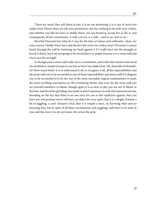"Upon my word, they will shout at you, it is no use protesting: it is a case of twice two makes four! Nature does not ask your permission, she has nothing to do with your wishes, and whether you like her laws or dislike them, you are bound to accept her as she is, and consequently all her conclusions. A wall, you see, is a wall ... and so on, and so on."

Merciful Heavens! but what do I care for the laws of nature and arithmetic, when, for some reason I dislike those laws and the fact that twice two makes four? Of course I cannot break through the wall by battering my head against it if I really have not the strength to knock it down, but I am not going to be reconciled to it simply because it is a stone wall and I have not the strength.

As though such a stone wall really were a consolation, and really did contain some word of conciliation, simply because it is as true as twice two makes four. Oh, absurdity of absurdities! How much better it is to understand it all, to recognise it all, all the impossibilities and the stone wall; not to be reconciled to one of those impossibilities and stone walls if it disgusts you to be reconciled to it; by the way of the most inevitable, logical combinations to reach the most revolting conclusions on the everlasting theme, that even for the stone wall you are yourself somehow to blame, though again it is as clear as day you are not to blame in the least, and therefore grinding your teeth in silent impotence to sink into luxurious inertia, brooding on the fact that there is no one even for you to feel vindictive against, that you have not, and perhaps never will have, an object for your spite, that it is a sleight of hand, a bit of juggling, a card- sharper's trick, that it is simply a mess, no knowing what and no knowing who, but in spite of all these uncertainties and jugglings, still there is an ache in you, and the more you do not know, the worse the ache.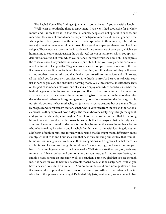"Ha, ha, ha! You will be finding enjoyment in toothache next," you cry, with a laugh.

<span id="page-14-0"></span>"Well, even in toothache there is enjoyment," I answer. I had toothache for a whole month and I know there is. In that case, of course, people are not spiteful in silence, but moan; but they are not candid moans, they are malignant moans, and the malignancy is the whole point. The enjoyment of the sufferer finds expression in those moans; if he did not feel enjoyment in them he would not moan. It is a good example, gentlemen, and I will develop it. Those moans express in the first place all the aimlessness of your pain, which is so humiliating to your consciousness; the whole legal system of nature on which you spit disdainfully, of course, but from which you suffer all the same while she does not. They express the consciousness that you have no enemy to punish, but that you have pain; the consciousness that in spite of all possible Wagenheims you are in complete slavery to your teeth; that if someone wishes it, your teeth will leave off aching, and if he does not, they will go on aching another three months; and that finally if you are still contumacious and still protest, all that is left you for your own gratification is to thrash yourself or beat your wall with your fist as hard as you can, and absolutely nothing more. Well, these mortal insults, these jeers on the part of someone unknown, end at last in an enjoyment which sometimes reaches the highest degree of voluptuousness. I ask you, gentlemen, listen sometimes to the moans of an educated man of the nineteenth century suffering from toothache, on the second or third day of the attack, when he is beginning to moan, not as he moaned on the first day, that is, not simply because he has toothache, not just as any coarse peasant, but as a man affected by progress and European civilisation, a man who is "divorced from the soil and the national elements," as they express it now-a-days. His moans become nasty, disgustingly malignant, and go on for whole days and nights. And of course he knows himself that he is doing himself no sort of good with his moans; he knows better than anyone that he is only lacerating and harassing himself and others for nothing; he knows that even the audience before whom he is making his efforts, and his whole family, listen to him with loathing, do not put a ha'porth of faith in him, and inwardly understand that he might moan differently, more simply, without trills and flourishes, and that he is only amusing himself like that from illhumour, from malignancy. Well, in all these recognitions and disgraces it is that there lies a voluptuous pleasure. As though he would say: "I am worrying you, I am lacerating your hearts, I am keeping everyone in the house awake. Well, stay awake then, you, too, feel every minute that I have toothache. I am not a hero to you now, as I tried to seem before, but simply a nasty person, an impostor. Well, so be it, then! I am very glad that you see through me. It is nasty for you to hear my despicable moans: well, let it be nasty; here I will let you have a nastier flourish in a minute. ..." You do not understand even now, gentlemen? No, it seems our development and our consciousness must go further to understand all the intricacies of this pleasure. You laugh? Delighted. My jests, gentlemen, are of course in bad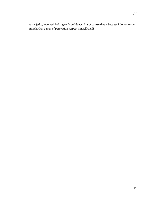taste, jerky, involved, lacking self-confidence. But of course that is because I do not respect myself. Can a man of perception respect himself at all?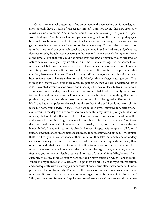<span id="page-16-0"></span>Come, can a man who attempts to find enjoyment in the very feeling of his own degradation possibly have a spark of respect for himself? I am not saying this now from any mawkish kind of remorse. And, indeed, I could never endure saying, "Forgive me, Papa, I won't do it again," not because I am incapable of saying that--on the contrary, perhaps just because I have been too capable of it, and in what a way, too. As though of design I used to get into trouble in cases when I was not to blame in any way. That was the nastiest part of it. At the same time I was genuinely touched and penitent, I used to shed tears and, of course, deceived myself, though I was not acting in the least and there was a sick feeling in my heart at the time. ... For that one could not blame even the laws of nature, though the laws of nature have continually all my life offended me more than anything. It is loathsome to remember it all, but it was loathsome even then. Of course, a minute or so later I would realise wrathfully that it was all a lie, a revolting lie, an affected lie, that is, all this penitence, this emotion, these vows of reform. You will ask why did I worry myself with such antics: answer, because it was very dull to sit with one's hands folded, and so one began cutting capers. That is really it. Observe yourselves more carefully, gentlemen, then you will understand that it is so. I invented adventures for myself and made up a life, so as at least to live in some way. How many times it has happened to me--well, for instance, to take offence simply on purpose, for nothing; and one knows oneself, of course, that one is offended at nothing; that one is putting it on, but yet one brings oneself at last to the point of being really offended. All my life I have had an impulse to play such pranks, so that in the end I could not control it in myself. Another time, twice, in fact, I tried hard to be in love. I suffered, too, gentlemen, I assure you. In the depth of my heart there was no faith in my suffering, only a faint stir of mockery, but yet I did suffer, and in the real, orthodox way; I was jealous, beside myself ... and it was all from ENNUI, gentlemen, all from ENNUI; inertia overcame me. You know the direct, legitimate fruit of consciousness is inertia, that is, conscious sitting-with-thehands-folded. I have referred to this already. I repeat, I repeat with emphasis: all "direct" persons and men of action are active just because they are stupid and limited. How explain that? I will tell you: in consequence of their limitation they take immediate and secondary causes for primary ones, and in that way persuade themselves more quickly and easily than other people do that they have found an infallible foundation for their activity, and their minds are at ease and you know that is the chief thing. To begin to act, you know, you must first have your mind completely at ease and no trace of doubt left in it. Why, how am I, for example, to set my mind at rest? Where are the primary causes on which I am to build? Where are my foundations? Where am I to get them from? I exercise myself in reflection, and consequently with me every primary cause at once draws after itself another still more primary, and so on to infinity. That is just the essence of every sort of consciousness and reflection. It must be a case of the laws of nature again. What is the result of it in the end? Why, just the same. Remember I spoke just now of vengeance. (I am sure you did not take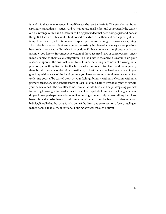it in.) I said that a man revenges himself because he sees justice in it. Therefore he has found a primary cause, that is, justice. And so he is at rest on all sides, and consequently he carries out his revenge calmly and successfully, being persuaded that he is doing a just and honest thing. But I see no justice in it, I find no sort of virtue in it either, and consequently if I attempt to revenge myself, it is only out of spite. Spite, of course, might overcome everything, all my doubts, and so might serve quite successfully in place of a primary cause, precisely because it is not a cause. But what is to be done if I have not even spite (I began with that just now, you know). In consequence again of those accursed laws of consciousness, anger in me is subject to chemical disintegration. You look into it, the object flies off into air, your reasons evaporate, the criminal is not to be found, the wrong becomes not a wrong but a phantom, something like the toothache, for which no one is to blame, and consequently there is only the same outlet left again--that is, to beat the wall as hard as you can. So you give it up with a wave of the hand because you have not found a fundamental cause. And try letting yourself be carried away by your feelings, blindly, without reflection, without a primary cause, repelling consciousness at least for a time; hate or love, if only not to sit with your hands folded. The day after tomorrow, at the latest, you will begin despising yourself for having knowingly deceived yourself. Result: a soap-bubble and inertia. Oh, gentlemen, do you know, perhaps I consider myself an intelligent man, only because all my life I have been able neither to begin nor to finish anything. Granted I am a babbler, a harmless vexatious babbler, like all of us. But what is to be done if the direct and sole vocation of every intelligent man is babble, that is, the intentional pouring of water through a sieve?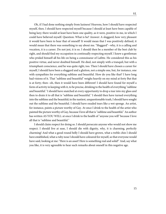<span id="page-18-0"></span>Oh, if I had done nothing simply from laziness! Heavens, how I should have respected myself, then. I should have respected myself because I should at least have been capable of being lazy; there would at least have been one quality, as it were, positive in me, in which I could have believed myself. Question: What is he? Answer: A sluggard; how very pleasant it would have been to hear that of oneself! It would mean that I was positively defined, it would mean that there was something to say about me. "Sluggard"--why, it is a calling and vocation, it is a career. Do not jest, it is so. I should then be a member of the best club by right, and should find my occupation in continually respecting myself. I knew a gentleman who prided himself all his life on being a connoisseur of Lafitte. He considered this as his positive virtue, and never doubted himself. He died, not simply with a tranquil, but with a triumphant conscience, and he was quite right, too. Then I should have chosen a career for myself, I should have been a sluggard and a glutton, not a simple one, but, for instance, one with sympathies for everything sublime and beautiful. How do you like that? I have long had visions of it. That "sublime and beautiful" weighs heavily on my mind at forty But that is at forty; then--oh, then it would have been different! I should have found for myself a form of activity in keeping with it, to be precise, drinking to the health of everything "sublime and beautiful." I should have snatched at every opportunity to drop a tear into my glass and then to drain it to all that is "sublime and beautiful." I should then have turned everything into the sublime and the beautiful; in the nastiest, unquestionable trash, I should have sought out the sublime and the beautiful. I should have exuded tears like a wet sponge. An artist, for instance, paints a picture worthy of Gay. At once I drink to the health of the artist who painted the picture worthy of Gay, because I love all that is "sublime and beautiful." An author has written AS YOU WILL: at once I drink to the health of "anyone you will" because I love all that is "sublime and beautiful."

I should claim respect for doing so. I should persecute anyone who would not show me respect. I should live at ease, I should die with dignity, why, it is charming, perfectly charming! And what a good round belly I should have grown, what a treble chin I should have established, what a ruby nose I should have coloured for myself, so that everyone would have said, looking at me: "Here is an asset! Here is something real and solid!" And, say what you like, it is very agreeable to hear such remarks about oneself in this negative age.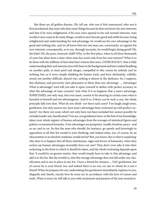<span id="page-19-0"></span>But these are all golden dreams. Oh, tell me, who was it first announced, who was it first proclaimed, that man only does nasty things because he does not know his own interests; and that if he were enlightened, if his eyes were opened to his real normal interests, man would at once cease to do nasty things, would at once become good and noble because, being enlightened and understanding his real advantage, he would see his own advantage in the good and nothing else, and we all know that not one man can, consciously, act against his own interests, consequently, so to say, through necessity, he would begin doing good? Oh, the babe! Oh, the pure, innocent child! Why, in the first place, when in all these thousands of years has there been a time when man has acted only from his own interest? What is to be done with the millions of facts that bear witness that men, CONSCIOUSLY, that is fully understanding their real interests, have left them in the background and have rushed headlong on another path, to meet peril and danger, compelled to this course by nobody and by nothing, but, as it were, simply disliking the beaten track, and have obstinately, wilfully, struck out another difficult, absurd way, seeking it almost in the darkness. So, I suppose, this obstinacy and perversity were pleasanter to them than any advantage. ... Advantage! What is advantage? And will you take it upon yourself to define with perfect accuracy in what the advantage of man consists? And what if it so happens that a man's advantage, SOMETIMES, not only may, but even must, consist in his desiring in certain cases what is harmful to himself and not advantageous. And if so, if there can be such a case, the whole principle falls into dust. What do you think--are there such cases? You laugh; laugh away, gentlemen, but only answer me: have man's advantages been reckoned up with perfect certainty? Are there not some which not only have not been included but cannot possibly be included under any classification? You see, you gentlemen have, to the best of my knowledge, taken your whole register of human advantages from the averages of statistical figures and politico-economical formulas. Your advantages are prosperity, wealth, freedom, peace--and so on, and so on. So that the man who should, for instance, go openly and knowingly in opposition to all that list would to your thinking, and indeed mine, too, of course, be an obscurantist or an absolute madman: would not he? But, you know, this is what is surprising: why does it so happen that all these statisticians, sages and lovers of humanity, when they reckon up human advantages invariably leave out one? They don't even take it into their reckoning in the form in which it should be taken, and the whole reckoning depends upon that. It would be no greater matter, they would simply have to take it, this advantage, and add it to the list. But the trouble is, that this strange advantage does not fall under any classification and is not in place in any list. I have a friend for instance ... Ech! gentlemen, but of course he is your friend, too; and indeed there is no one, no one to whom he is not a friend! When he prepares for any undertaking this gentleman immediately explains to you, elegantly and clearly, exactly how he must act in accordance with the laws of reason and truth. What is more, he will talk to you with excitement and passion of the true normal in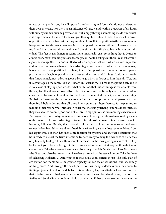terests of man; with irony he will upbraid the short- sighted fools who do not understand their own interests, nor the true significance of virtue; and, within a quarter of an hour, without any sudden outside provocation, but simply through something inside him which is stronger than all his interests, he will go off on quite a different tack--that is, act in direct opposition to what he has just been saying about himself, in opposition to the laws of reason, in opposition to his own advantage, in fact in opposition to everything ... I warn you that my friend is a compound personality and therefore it is difficult to blame him as an individual. The fact is, gentlemen, it seems there must really exist something that is dearer to almost every man than his greatest advantages, or (not to be illogical) there is a most advantageous advantage (the very one omitted of which we spoke just now) which is more important and more advantageous than all other advantages, for the sake of which a man if necessary is ready to act in opposition to all laws; that is, in opposition to reason, honour, peace, prosperity--in fact, in opposition to all those excellent and useful things if only he can attain that fundamental, most advantageous advantage which is dearer to him than all. "Yes, but it's advantage all the same," you will retort. But excuse me, I'll make the point clear, and it is not a case of playing upon words. What matters is, that this advantage is remarkable from the very fact that it breaks down all our classifications, and continually shatters every system constructed by lovers of mankind for the benefit of mankind. In fact, it upsets everything. But before I mention this advantage to you, I want to compromise myself personally, and therefore I boldly declare that all these fine systems, all these theories for explaining to mankind their real normal interests, in order that inevitably striving to pursue these interests they may at once become good and noble--are, in my opinion, so far, mere logical exercises! Yes, logical exercises. Why, to maintain this theory of the regeneration of mankind by means of the pursuit of his own advantage is to my mind almost the same thing ... as to affirm, for instance, following Buckle, that through civilisation mankind becomes softer, and consequently less bloodthirsty and less fitted for warfare. Logically it does seem to follow from his arguments. But man has such a predilection for systems and abstract deductions that he is ready to distort the truth intentionally, he is ready to deny the evidence of his senses only to justify his logic. I take this example because it is the most glaring instance of it. Only look about you: blood is being spilt in streams, and in the merriest way, as though it were champagne. Take the whole of the nineteenth century in which Buckle lived. Take Napoleon- -the Great and also the present one. Take North America--the eternal union. Take the farce of Schleswig-Holstein .... And what is it that civilisation softens in us? The only gain of civilisation for mankind is the greater capacity for variety of sensations--and absolutely nothing more. And through the development of this many- sidedness man may come to finding enjoyment in bloodshed. In fact, this has already happened to him. Have you noticed that it is the most civilised gentlemen who have been the subtlest slaughterers, to whom the Attilas and Stenka Razins could not hold a candle, and if they are not so conspicuous as the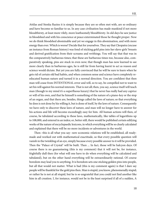Attilas and Stenka Razins it is simply because they are so often met with, are so ordinary and have become so familiar to us. In any case civilisation has made mankind if not more bloodthirsty, at least more vilely, more loathsomely bloodthirsty. In old days he saw justice in bloodshed and with his conscience at peace exterminated those he thought proper. Now we do think bloodshed abominable and yet we engage in this abomination, and with more energy than ever. Which is worse? Decide that for yourselves. They say that Cleopatra (excuse an instance from Roman history) was fond of sticking gold pins into her slave-girls' breasts and derived gratification from their screams and writhings. You will say that that was in the comparatively barbarous times; that these are barbarous times too, because also, comparatively speaking, pins are stuck in even now; that though man has now learned to see more clearly than in barbarous ages, he is still far from having learnt to act as reason and science would dictate. But yet you are fully convinced that he will be sure to learn when he gets rid of certain old bad habits, and when common sense and science have completely reeducated human nature and turned it in a normal direction. You are confident that then man will cease from INTENTIONAL error and will, so to say, be compelled not to want to set his will against his normal interests. That is not all; then, you say, science itself will teach man (though to my mind it's a superfluous luxury) that he never has really had any caprice or will of his own, and that he himself is something of the nature of a piano-key or the stop of an organ, and that there are, besides, things called the laws of nature; so that everything he does is not done by his willing it, but is done of itself, by the laws of nature. Consequently we have only to discover these laws of nature, and man will no longer have to answer for his actions and life will become exceedingly easy for him. All human actions will then, of course, be tabulated according to these laws, mathematically, like tables of logarithms up to 108,000, and entered in an index; or, better still, there would be published certain edifying works of the nature of encyclopaedic lexicons, in which everything will be so clearly calculated and explained that there will be no more incidents or adventures in the world.

Then--this is all what you say--new economic relations will be established, all readymade and worked out with mathematical exactitude, so that every possible question will vanish in the twinkling of an eye, simply because every possible answer to it will be provided. Then the "Palace of Crystal" will be built. Then ... In fact, those will be halcyon days. Of course there is no guaranteeing (this is my comment) that it will not be, for instance, frightfully dull then (for what will one have to do when everything will be calculated and tabulated), but on the other hand everything will be extraordinarily rational. Of course boredom may lead you to anything. It is boredom sets one sticking golden pins into people, but all that would not matter. What is bad (this is my comment again) is that I dare say people will be thankful for the gold pins then. Man is stupid, you know, phenomenally stupid; or rather he is not at all stupid, but he is so ungrateful that you could not find another like him in all creation. I, for instance, would not be in the least surprised if all of a sudden, A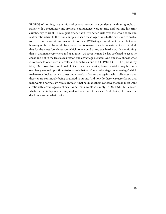PROPOS of nothing, in the midst of general prosperity a gentleman with an ignoble, or rather with a reactionary and ironical, countenance were to arise and, putting his arms akimbo, say to us all: "I say, gentleman, hadn't we better kick over the whole show and scatter rationalism to the winds, simply to send these logarithms to the devil, and to enable us to live once more at our own sweet foolish will!" That again would not matter, but what is annoying is that he would be sure to find followers--such is the nature of man. And all that for the most foolish reason, which, one would think, was hardly worth mentioning: that is, that man everywhere and at all times, whoever he may be, has preferred to act as he chose and not in the least as his reason and advantage dictated. And one may choose what is contrary to one's own interests, and sometimes one POSITIVELY OUGHT (that is my idea). One's own free unfettered choice, one's own caprice, however wild it may be, one's own fancy worked up at times to frenzy--is that very "most advantageous advantage" which we have overlooked, which comes under no classification and against which all systems and theories are continually being shattered to atoms. And how do these wiseacres know that man wants a normal, a virtuous choice? What has made them conceive that man must want a rationally advantageous choice? What man wants is simply INDEPENDENT choice, whatever that independence may cost and wherever it may lead. And choice, of course, the devil only knows what choice.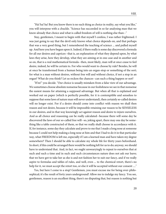<span id="page-23-0"></span>"Ha! ha! ha! But you know there is no such thing as choice in reality, say what you like," you will interpose with a chuckle. "Science has succeeded in so far analysing man that we know already that choice and what is called freedom of will is nothing else than--"

Stay, gentlemen, I meant to begin with that myself I confess, I was rather frightened. I was just going to say that the devil only knows what choice depends on, and that perhaps that was a very good thing, but I remembered the teaching of science ... and pulled myself up. And here you have begun upon it. Indeed, if there really is some day discovered a formula for all our desires and caprices--that is, an explanation of what they depend upon, by what laws they arise, how they develop, what they are aiming at in one case and in another and so on, that is a real mathematical formula--then, most likely, man will at once cease to feel desire, indeed, he will be certain to. For who would want to choose by rule? Besides, he will at once be transformed from a human being into an organ-stop or something of the sort; for what is a man without desires, without free will and without choice, if not a stop in an organ? What do you think? Let us reckon the chances--can such a thing happen or not?

"H'm!" you decide. "Our choice is usually mistaken from a false view of our advantage. We sometimes choose absolute nonsense because in our foolishness we see in that nonsense the easiest means for attaining a supposed advantage. But when all that is explained and worked out on paper (which is perfectly possible, for it is contemptible and senseless to suppose that some laws of nature man will never understand), then certainly so-called desires will no longer exist. For if a desire should come into conflict with reason we shall then reason and not desire, because it will be impossible retaining our reason to be SENSELESS in our desires, and in that way knowingly act against reason and desire to injure ourselves. And as all choice and reasoning can be really calculated--because there will some day be discovered the laws of our so-called free will--so, joking apart, there may one day be something like a table constructed of them, so that we really shall choose in accordance with it. If, for instance, some day they calculate and prove to me that I made a long nose at someone because I could not help making a long nose at him and that I had to do it in that particular way, what FREEDOM is left me, especially if I am a learned man and have taken my degree somewhere? Then I should be able to calculate my whole life for thirty years beforehand. In short, if this could be arranged there would be nothing left for us to do; anyway, we should have to understand that. And, in fact, we ought unwearyingly to repeat to ourselves that at such and such a time and in such and such circumstances nature does not ask our leave; that we have got to take her as she is and not fashion her to suit our fancy, and if we really aspire to formulas and tables of rules, and well, even ... to the chemical retort, there's no help for it, we must accept the retort too, or else it will be accepted without our consent ...."

Yes, but here I come to a stop! Gentlemen, you must excuse me for being over-philosophical; it's the result of forty years underground! Allow me to indulge my fancy. You see, gentlemen, reason is an excellent thing, there's no disputing that, but reason is nothing but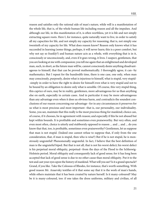reason and satisfies only the rational side of man's nature, while will is a manifestation of the whole life, that is, of the whole human life including reason and all the impulses. And although our life, in this manifestation of it, is often worthless, yet it is life and not simply extracting square roots. Here I, for instance, quite naturally want to live, in order to satisfy all my capacities for life, and not simply my capacity for reasoning, that is, not simply one twentieth of my capacity for life. What does reason know? Reason only knows what it has succeeded in learning (some things, perhaps, it will never learn; this is a poor comfort, but why not say so frankly?) and human nature acts as a whole, with everything that is in it, consciously or unconsciously, and, even if it goes wrong, it lives. I suspect, gentlemen, that you are looking at me with compassion; you tell me again that an enlightened and developed man, such, in short, as the future man will be, cannot consciously desire anything disadvantageous to himself, that that can be proved mathematically. I thoroughly agree, it can--by mathematics. But I repeat for the hundredth time, there is one case, one only, when man may consciously, purposely, desire what is injurious to himself, what is stupid, very stupid- -simply in order to have the right to desire for himself even what is very stupid and not to be bound by an obligation to desire only what is sensible. Of course, this very stupid thing, this caprice of ours, may be in reality, gentlemen, more advantageous for us than anything else on earth, especially in certain cases. And in particular it may be more advantageous than any advantage even when it does us obvious harm, and contradicts the soundest conclusions of our reason concerning our advantage--for in any circumstances it preserves for us what is most precious and most important--that is, our personality, our individuality. Some, you see, maintain that this really is the most precious thing for mankind; choice can, of course, if it chooses, be in agreement with reason; and especially if this be not abused but kept within bounds. It is profitable and sometimes even praiseworthy. But very often, and even most often, choice is utterly and stubbornly opposed to reason ... and ... and ... do you know that that, too, is profitable, sometimes even praiseworthy? Gentlemen, let us suppose that man is not stupid. (Indeed one cannot refuse to suppose that, if only from the one consideration, that, if man is stupid, then who is wise?) But if he is not stupid, he is monstrously ungrateful! Phenomenally ungrateful. In fact, I believe that the best definition of man is the ungrateful biped. But that is not all, that is not his worst defect; his worst defect is his perpetual moral obliquity, perpetual--from the days of the Flood to the Schleswig-Holstein period. Moral obliquity and consequently lack of good sense; for it has long been accepted that lack of good sense is due to no other cause than moral obliquity. Put it to the test and cast your eyes upon the history of mankind. What will you see? Is it a grand spectacle? Grand, if you like. Take the Colossus of Rhodes, for instance, that's worth something. With good reason Mr. Anaevsky testifies of it that some say that it is the work of man's hands, while others maintain that it has been created by nature herself. Is it many-coloured? May be it is many-coloured, too: if one takes the dress uniforms, military and civilian, of all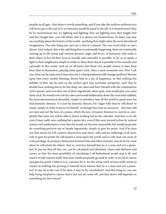peoples in all ages--that alone is worth something, and if you take the undress uniforms you will never get to the end of it; no historian would be equal to the job. Is it monotonous? May be it's monotonous too: it's fighting and fighting; they are fighting now, they fought first and they fought last--you will admit, that it is almost too monotonous. In short, one may say anything about the history of the world--anything that might enter the most disordered imagination. The only thing one can't say is that it's rational. The very word sticks in one's throat. And, indeed, this is the odd thing that is continually happening: there are continually turning up in life moral and rational persons, sages and lovers of humanity who make it their object to live all their lives as morally and rationally as possible, to be, so to speak, a light to their neighbours simply in order to show them that it is possible to live morally and rationally in this world. And yet we all know that those very people sooner or later have been false to themselves, playing some queer trick, often a most unseemly one. Now I ask you: what can be expected of man since he is a being endowed with strange qualities? Shower upon him every earthly blessing, drown him in a sea of happiness, so that nothing but bubbles of bliss can be seen on the surface; give him economic prosperity, such that he should have nothing else to do but sleep, eat cakes and busy himself with the continuation of his species, and even then out of sheer ingratitude, sheer spite, man would play you some nasty trick. He would even risk his cakes and would deliberately desire the most fatal rubbish, the most uneconomical absurdity, simply to introduce into all this positive good sense his fatal fantastic element. It is just his fantastic dreams, his vulgar folly that he will desire to retain, simply in order to prove to himself--as though that were so necessary-- that men still are men and not the keys of a piano, which the laws of nature threaten to control so completely that soon one will be able to desire nothing but by the calendar. And that is not all: even if man really were nothing but a piano-key, even if this were proved to him by natural science and mathematics, even then he would not become reasonable, but would purposely do something perverse out of simple ingratitude, simply to gain his point. And if he does not find means he will contrive destruction and chaos, will contrive sufferings of all sorts, only to gain his point! He will launch a curse upon the world, and as only man can curse (it is his privilege, the primary distinction between him and other animals), may be by his curse alone he will attain his object--that is, convince himself that he is a man and not a pianokey! If you say that all this, too, can be calculated and tabulated--chaos and darkness and curses, so that the mere possibility of calculating it all beforehand would stop it all, and reason would reassert itself, then man would purposely go mad in order to be rid of reason and gain his point! I believe in it, I answer for it, for the whole work of man really seems to consist in nothing but proving to himself every minute that he is a man and not a pianokey! It may be at the cost of his skin, it may be by cannibalism! And this being so, can one help being tempted to rejoice that it has not yet come off, and that desire still depends on something we don't know?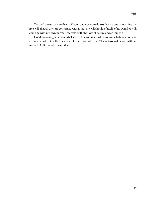You will scream at me (that is, if you condescend to do so) that no one is touching my free will, that all they are concerned with is that my will should of itself, of its own free will, coincide with my own normal interests, with the laws of nature and arithmetic.

Good heavens, gentlemen, what sort of free will is left when we come to tabulation and arithmetic, when it will all be a case of twice two make four? Twice two makes four without my will. As if free will meant that!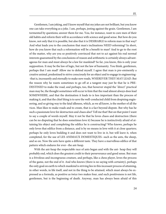<span id="page-27-0"></span>Gentlemen, I am joking, and I know myself that my jokes are not brilliant, but you know one can take everything as a joke. I am, perhaps, jesting against the grain. Gentlemen, I am tormented by questions; answer them for me. You, for instance, want to cure men of their old habits and reform their will in accordance with science and good sense. But how do you know, not only that it is possible, but also that it is DESIRABLE to reform man in that way? And what leads you to the conclusion that man's inclinations NEED reforming? In short, how do you know that such a reformation will be a benefit to man? And to go to the root of the matter, why are you so positively convinced that not to act against his real normal interests guaranteed by the conclusions of reason and arithmetic is certainly always advantageous for man and must always be a law for mankind? So far, you know, this is only your supposition. It may be the law of logic, but not the law of humanity. You think, gentlemen, perhaps that I am mad? Allow me to defend myself. I agree that man is pre-eminently a creative animal, predestined to strive consciously for an object and to engage in engineering- -that is, incessantly and eternally to make new roads, WHEREVER THEY MAY LEAD. But the reason why he wants sometimes to go off at a tangent may just be that he is PRE-DESTINED to make the road, and perhaps, too, that however stupid the "direct" practical man may be, the thought sometimes will occur to him that the road almost always does lead SOMEWHERE, and that the destination it leads to is less important than the process of making it, and that the chief thing is to save the well-conducted child from despising engineering, and so giving way to the fatal idleness, which, as we all know, is the mother of all the vices. Man likes to make roads and to create, that is a fact beyond dispute. But why has he such a passionate love for destruction and chaos also? Tell me that! But on that point I want to say a couple of words myself. May it not be that he loves chaos and destruction (there can be no disputing that he does sometimes love it) because he is instinctively afraid of attaining his object and completing the edifice he is constructing? Who knows, perhaps he only loves that edifice from a distance, and is by no means in love with it at close quarters; perhaps he only loves building it and does not want to live in it, but will leave it, when completed, for the use of LES ANIMAUX DOMESTIQUES--such as the ants, the sheep, and so on. Now the ants have quite a different taste. They have a marvellous edifice of that

With the ant-heap the respectable race of ants began and with the ant- heap they will probably end, which does the greatest credit to their perseverance and good sense. But man is a frivolous and incongruous creature, and perhaps, like a chess player, loves the process of the game, not the end of it. And who knows (there is no saying with certainty), perhaps the only goal on earth to which mankind is striving lies in this incessant process of attaining, in other words, in life itself, and not in the thing to be attained, which must always be expressed as a formula, as positive as twice two makes four, and such positiveness is not life, gentlemen, but is the beginning of death. Anyway, man has always been afraid of this

pattern which endures for ever--the ant-heap.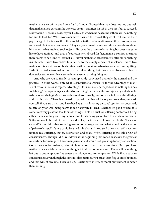mathematical certainty, and I am afraid of it now. Granted that man does nothing but seek that mathematical certainty, he traverses oceans, sacrifices his life in the quest, but to succeed, really to find it, dreads, I assure you. He feels that when he has found it there will be nothing for him to look for. When workmen have finished their work they do at least receive their pay, they go to the tavern, then they are taken to the police-station--and there is occupation for a week. But where can man go? Anyway, one can observe a certain awkwardness about him when he has attained such objects. He loves the process of attaining, but does not quite like to have attained, and that, of course, is very absurd. In fact, man is a comical creature; there seems to be a kind of jest in it all. But yet mathematical certainty is after all, something insufferable. Twice two makes four seems to me simply a piece of insolence. Twice two makes four is a pert coxcomb who stands with arms akimbo barring your path and spitting. I admit that twice two makes four is an excellent thing, but if we are to give everything its due, twice two makes five is sometimes a very charming thing too.

And why are you so firmly, so triumphantly, convinced that only the normal and the positive--in other words, only what is conducive to welfare--is for the advantage of man? Is not reason in error as regards advantage? Does not man, perhaps, love something besides well-being? Perhaps he is just as fond of suffering? Perhaps suffering is just as great a benefit to him as well-being? Man is sometimes extraordinarily, passionately, in love with suffering, and that is a fact. There is no need to appeal to universal history to prove that; only ask yourself, if you are a man and have lived at all. As far as my personal opinion is concerned, to care only for well-being seems to me positively ill-bred. Whether it's good or bad, it is sometimes very pleasant, too, to smash things. I hold no brief for suffering nor for well-being either. I am standing for ... my caprice, and for its being guaranteed to me when necessary. Suffering would be out of place in vaudevilles, for instance; I know that. In the "Palace of Crystal" it is unthinkable; suffering means doubt, negation, and what would be the good of a "palace of crystal" if there could be any doubt about it? And yet I think man will never renounce real suffering, that is, destruction and chaos. Why, suffering is the sole origin of consciousness. Though I did lay it down at the beginning that consciousness is the greatest misfortune for man, yet I know man prizes it and would not give it up for any satisfaction. Consciousness, for instance, is infinitely superior to twice two makes four. Once you have mathematical certainty there is nothing left to do or to understand. There will be nothing left but to bottle up your five senses and plunge into contemplation. While if you stick to consciousness, even though the same result is attained, you can at least flog yourself at times, and that will, at any rate, liven you up. Reactionary as it is, corporal punishment is better than nothing.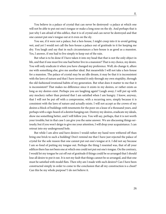<span id="page-29-0"></span>You believe in a palace of crystal that can never be destroyed--a palace at which one will not be able to put out one's tongue or make a long nose on the sly. And perhaps that is just why I am afraid of this edifice, that it is of crystal and can never be destroyed and that one cannot put one's tongue out at it even on the sly.

You see, if it were not a palace, but a hen-house, I might creep into it to avoid getting wet, and yet I would not call the hen-house a palace out of gratitude to it for keeping me dry. You laugh and say that in such circumstances a hen-house is as good as a mansion. Yes, I answer, if one had to live simply to keep out of the rain.

But what is to be done if I have taken it into my head that that is not the only object in life, and that if one must live one had better live in a mansion? That is my choice, my desire. You will only eradicate it when you have changed my preference. Well, do change it, allure me with something else, give me another ideal. But meanwhile I will not take a hen-house for a mansion. The palace of crystal may be an idle dream, it may be that it is inconsistent with the laws of nature and that I have invented it only through my own stupidity, through the old-fashioned irrational habits of my generation. But what does it matter to me that it is inconsistent? That makes no difference since it exists in my desires, or rather exists as long as my desires exist. Perhaps you are laughing again? Laugh away; I will put up with any mockery rather than pretend that I am satisfied when I am hungry. I know, anyway, that I will not be put off with a compromise, with a recurring zero, simply because it is consistent with the laws of nature and actually exists. I will not accept as the crown of my desires a block of buildings with tenements for the poor on a lease of a thousand years, and perhaps with a sign-board of a dentist hanging out. Destroy my desires, eradicate my ideals, show me something better, and I will follow you. You will say, perhaps, that it is not worth your trouble; but in that case I can give you the same answer. We are discussing things seriously; but if you won't deign to give me your attention, I will drop your acquaintance. I can retreat into my underground hole.

But while I am alive and have desires I would rather my hand were withered off than bring one brick to such a building! Don't remind me that I have just rejected the palace of crystal for the sole reason that one cannot put out one's tongue at it. I did not say because I am so fond of putting my tongue out. Perhaps the thing I resented was, that of all your edifices there has not been one at which one could not put out one's tongue. On the contrary, I would let my tongue be cut off out of gratitude if things could be so arranged that I should lose all desire to put it out. It is not my fault that things cannot be so arranged, and that one must be satisfied with model flats. Then why am I made with such desires? Can I have been constructed simply in order to come to the conclusion that all my construction is a cheat? Can this be my whole purpose? I do not believe it.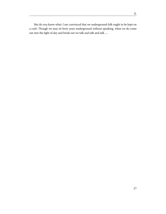But do you know what: I am convinced that we underground folk ought to be kept on a curb. Though we may sit forty years underground without speaking, when we do come out into the light of day and break out we talk and talk and talk ....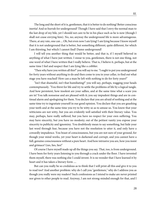<span id="page-31-0"></span>The long and the short of it is, gentlemen, that it is better to do nothing! Better conscious inertia! And so hurrah for underground! Though I have said that I envy the normal man to the last drop of my bile, yet I should not care to be in his place such as he is now (though I shall not cease envying him). No, no; anyway the underground life is more advantageous. There, at any rate, one can ... Oh, but even now I am lying! I am lying because I know myself that it is not underground that is better, but something different, quite different, for which I am thirsting, but which I cannot find! Damn underground!

I will tell you another thing that would be better, and that is, if I myself believed in anything of what I have just written. I swear to you, gentlemen, there is not one thing, not one word of what I have written that I really believe. That is, I believe it, perhaps, but at the same time I feel and suspect that I am lying like a cobbler.

"Then why have you written all this?" you will say to me. "I ought to put you underground for forty years without anything to do and then come to you in your cellar, to find out what stage you have reached! How can a man be left with nothing to do for forty years?"

"Isn't that shameful, isn't that humiliating?" you will say, perhaps, wagging your heads contemptuously. "You thirst for life and try to settle the problems of life by a logical tangle. And how persistent, how insolent are your sallies, and at the same time what a scare you are in! You talk nonsense and are pleased with it; you say impudent things and are in continual alarm and apologising for them. You declare that you are afraid of nothing and at the same time try to ingratiate yourself in our good opinion. You declare that you are gnashing your teeth and at the same time you try to be witty so as to amuse us. You know that your witticisms are not witty, but you are evidently well satisfied with their literary value. You may, perhaps, have really suffered, but you have no respect for your own suffering. You may have sincerity, but you have no modesty; out of the pettiest vanity you expose your sincerity to publicity and ignominy. You doubtlessly mean to say something, but hide your last word through fear, because you have not the resolution to utter it, and only have a cowardly impudence. You boast of consciousness, but you are not sure of your ground, for though your mind works, yet your heart is darkened and corrupt, and you cannot have a full, genuine consciousness without a pure heart. And how intrusive you are, how you insist and grimace! Lies, lies, lies!"

Of course I have myself made up all the things you say. That, too, is from underground. I have been for forty years listening to you through a crack under the floor. I have invented them myself, there was nothing else I could invent. It is no wonder that I have learned it by heart and it has taken a literary form ....

But can you really be so credulous as to think that I will print all this and give it to you to read too? And another problem: why do I call you "gentlemen," why do I address you as though you really were my readers? Such confessions as I intend to make are never printed nor given to other people to read. Anyway, I am not strong-minded enough for that, and I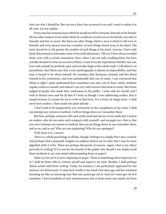don't see why I should be. But you see a fancy has occurred to me and I want to realise it at all costs. Let me explain.

Every man has reminiscences which he would not tell to everyone, but only to his friends. He has other matters in his mind which he would not reveal even to his friends, but only to himself, and that in secret. But there are other things which a man is afraid to tell even to himself, and every decent man has a number of such things stored away in his mind. The more decent he is, the greater the number of such things in his mind. Anyway, I have only lately determined to remember some of my early adventures. Till now I have always avoided them, even with a certain uneasiness. Now, when I am not only recalling them, but have actually decided to write an account of them, I want to try the experiment whether one can, even with oneself, be perfectly open and not take fright at the whole truth. I will observe, in parenthesis, that Heine says that a true autobiography is almost an impossibility, and that man is bound to lie about himself. He considers that Rousseau certainly told lies about himself in his confessions, and even intentionally lied, out of vanity. I am convinced that Heine is right; I quite understand how sometimes one may, out of sheer vanity, attribute regular crimes to oneself, and indeed I can very well conceive that kind of vanity. But Heine judged of people who made their confessions to the public. I write only for myself, and I wish to declare once and for all that if I write as though I were addressing readers, that is simply because it is easier for me to write in that form. It is a form, an empty form--I shall never have readers. I have made this plain already ...

I don't wish to be hampered by any restrictions in the compilation of my notes. I shall not attempt any system or method. I will jot things down as I remember them.

But here, perhaps, someone will catch at the word and ask me: if you really don't reckon on readers, why do you make such compacts with yourself--and on paper too--that is, that you won't attempt any system or method, that you jot things down as you remember them, and so on, and so on? Why are you explaining? Why do you apologise?

Well, there it is, I answer.

There is a whole psychology in all this, though. Perhaps it is simply that I am a coward. And perhaps that I purposely imagine an audience before me in order that I may be more dignified while I write. There are perhaps thousands of reasons. Again, what is my object precisely in writing? If it is not for the benefit of the public why should I not simply recall these incidents in my own mind without putting them on paper?

Quite so; but yet it is more imposing on paper. There is something more impressive in it; I shall be better able to criticise myself and improve my style. Besides, I shall perhaps obtain actual relief from writing. Today, for instance, I am particularly oppressed by one memory of a distant past. It came back vividly to my mind a few days ago, and has remained haunting me like an annoying tune that one cannot get rid of. And yet I must get rid of it somehow. I have hundreds of such reminiscences; but at times some one stands out from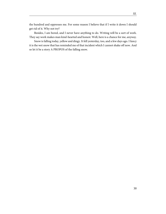the hundred and oppresses me. For some reason I believe that if I write it down I should get rid of it. Why not try?

Besides, I am bored, and I never have anything to do. Writing will be a sort of work. They say work makes man kind-hearted and honest. Well, here is a chance for me, anyway.

Snow is falling today, yellow and dingy. It fell yesterday, too, and a few days ago. I fancy it is the wet snow that has reminded me of that incident which I cannot shake off now. And so let it be a story A PROPOS of the falling snow.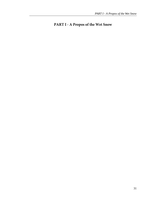#### <span id="page-34-0"></span>**PART I - A Propos of the Wet Snow**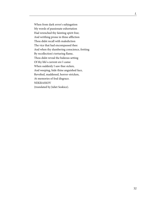<span id="page-35-0"></span>When from dark error's subjugation My words of passionate exhortation Had wrenched thy fainting spirit free; And writhing prone in thine affliction Thou didst recall with malediction The vice that had encompassed thee: And when thy slumbering conscience, fretting By recollection's torturing flame, Thou didst reveal the hideous setting Of thy life's current ere I came: When suddenly I saw thee sicken, And weeping, hide thine anguished face, Revolted, maddened, horror-stricken, At memories of foul disgrace. NEKRASSOV (translated by Juliet Soskice).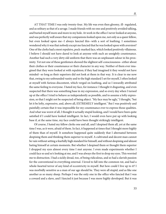AT THAT TIME I was only twenty-four. My life was even then gloomy, ill- regulated, and as solitary as that of a savage. I made friends with no one and positively avoided talking, and buried myself more and more in my hole. At work in the office I never looked at anyone, and was perfectly well aware that my companions looked upon me, not only as a queer fellow, but even looked upon me--I always fancied this--with a sort of loathing. I sometimes wondered why it was that nobody except me fancied that he was looked upon with aversion? One of the clerks had a most repulsive, pock-marked face, which looked positively villainous. I believe I should not have dared to look at anyone with such an unsightly countenance. Another had such a very dirty old uniform that there was an unpleasant odour in his proximity. Yet not one of these gentlemen showed the slightest self-consciousness--either about their clothes or their countenance or their character in any way. Neither of them ever imagined that they were looked at with repulsion; if they had imagined it they would not have minded--so long as their superiors did not look at them in that way. It is clear to me now that, owing to my unbounded vanity and to the high standard I set for myself, I often looked at myself with furious discontent, which verged on loathing, and so I inwardly attributed the same feeling to everyone. I hated my face, for instance: I thought it disgusting, and even suspected that there was something base in my expression, and so every day when I turned up at the office I tried to behave as independently as possible, and to assume a lofty expression, so that I might not be suspected of being abject. "My face may be ugly," I thought, "but let it be lofty, expressive, and, above all, EXTREMELY intelligent." But I was positively and painfully certain that it was impossible for my countenance ever to express those qualities. And what was worst of all, I thought it actually stupid looking, and I would have been quite satisfied if I could have looked intelligent. In fact, I would even have put up with looking base if, at the same time, my face could have been thought strikingly intelligent.

Of course, I hated my fellow clerks one and all, and I despised them all, yet at the same time I was, as it were, afraid of them. In fact, it happened at times that I thought more highly of them than of myself. It somehow happened quite suddenly that I alternated between despising them and thinking them superior to myself. A cultivated and decent man cannot be vain without setting a fearfully high standard for himself, and without despising and almost hating himself at certain moments. But whether I despised them or thought them superior I dropped my eyes almost every time I met anyone. I even made experiments whether I could face so and so's looking at me, and I was always the first to drop my eyes. This worried me to distraction. I had a sickly dread, too, of being ridiculous, and so had a slavish passion for the conventional in everything external. I loved to fall into the common rut, and had a whole-hearted terror of any kind of eccentricity in myself. But how could I live up to it? I was morbidly sensitive as a man of our age should be. They were all stupid, and as like one another as so many sheep. Perhaps I was the only one in the office who fancied that I was a coward and a slave, and I fancied it just because I was more highly developed. But it was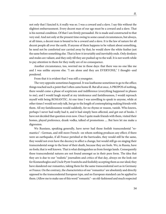not only that I fancied it, it really was so. I was a coward and a slave. I say this without the slightest embarrassment. Every decent man of our age must be a coward and a slave. That is his normal condition. Of that I am firmly persuaded. He is made and constructed to that very end. And not only at the present time owing to some casual circumstances, but always, at all times, a decent man is bound to be a coward and a slave. It is the law of nature for all decent people all over the earth. If anyone of them happens to be valiant about something, he need not be comforted nor carried away by that; he would show the white feather just the same before something else. That is how it invariably and inevitably ends. Only donkeys and mules are valiant, and they only till they are pushed up to the wall. It is not worth while to pay attention to them for they really are of no consequence.

Another circumstance, too, worried me in those days: that there was no one like me and I was unlike anyone else. "I am alone and they are EVERYONE," I thought--and pondered.

From that it is evident that I was still a youngster.

The very opposite sometimes happened. It was loathsome sometimes to go to the office; things reached such a point that I often came home ill. But all at once, A PROPOS of nothing, there would come a phase of scepticism and indifference (everything happened in phases to me), and I would laugh myself at my intolerance and fastidiousness, I would reproach myself with being ROMANTIC. At one time I was unwilling to speak to anyone, while at other times I would not only talk, but go to the length of contemplating making friends with them. All my fastidiousness would suddenly, for no rhyme or reason, vanish. Who knows, perhaps I never had really had it, and it had simply been affected, and got out of books. I have not decided that question even now. Once I quite made friends with them, visited their homes, played preference, drank vodka, talked of promotions .... But here let me make a digression.

We Russians, speaking generally, have never had those foolish transcendental "romantics"--German, and still more French--on whom nothing produces any effect; if there were an earthquake, if all France perished at the barricades, they would still be the same, they would not even have the decency to affect a change, but would still go on singing their transcendental songs to the hour of their death, because they are fools. We, in Russia, have no fools; that is well known. That is what distinguishes us from foreign lands. Consequently these transcendental natures are not found amongst us in their pure form. The idea that they are is due to our "realistic" journalists and critics of that day, always on the look out for Kostanzhoglos and Uncle Pyotr Ivanitchs and foolishly accepting them as our ideal; they have slandered our romantics, taking them for the same transcendental sort as in Germany or France. On the contrary, the characteristics of our "romantics" are absolutely and directly opposed to the transcendental European type, and no European standard can be applied to them. (Allow me to make use of this word "romantic"--an old-fashioned and much respected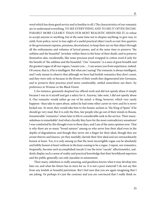word which has done good service and is familiar to all.) The characteristics of our romantic are to understand everything, TO SEE EVERYTHING AND TO SEE IT OFTEN INCOM-PARABLY MORE CLEARLY THAN OUR MOST REALISTIC MINDS SEE IT; to refuse to accept anyone or anything, but at the same time not to despise anything; to give way, to yield, from policy; never to lose sight of a useful practical object (such as rent-free quarters at the government expense, pensions, decorations), to keep their eye on that object through all the enthusiasms and volumes of lyrical poems, and at the same time to preserve "the sublime and the beautiful" inviolate within them to the hour of their death, and to preserve themselves also, incidentally, like some precious jewel wrapped in cotton wool if only for the benefit of "the sublime and the beautiful." Our "romantic" is a man of great breadth and the greatest rogue of all our rogues, I assure you .... I can assure you from experience, indeed. Of course, that is, if he is intelligent. But what am I saying! The romantic is always intelligent, and I only meant to observe that although we have had foolish romantics they don't count, and they were only so because in the flower of their youth they degenerated into Germans, and to preserve their precious jewel more comfortably, settled somewhere out there--by preference in Weimar or the Black Forest.

I, for instance, genuinely despised my official work and did not openly abuse it simply because I was in it myself and got a salary for it. Anyway, take note, I did not openly abuse it. Our romantic would rather go out of his mind--a thing, however, which very rarely happens--than take to open abuse, unless he had some other career in view; and he is never kicked out. At most, they would take him to the lunatic asylum as "the King of Spain" if he should go very mad. But it is only the thin, fair people who go out of their minds in Russia. Innumerable "romantics" attain later in life to considerable rank in the service. Their manysidedness is remarkable! And what a faculty they have for the most contradictory sensations! I was comforted by this thought even in those days, and I am of the same opinion now. That is why there are so many "broad natures" among us who never lose their ideal even in the depths of degradation; and though they never stir a finger for their ideal, though they are arrant thieves and knaves, yet they tearfully cherish their first ideal and are extraordinarily honest at heart. Yes, it is only among us that the most incorrigible rogue can be absolutely and loftily honest at heart without in the least ceasing to be a rogue. I repeat, our romantics, frequently, become such accomplished rascals (I use the term "rascals" affectionately), suddenly display such a sense of reality and practical knowledge that their bewildered superiors and the public generally can only ejaculate in amazement.

Their many-sidedness is really amazing, and goodness knows what it may develop into later on, and what the future has in store for us. It is not a poor material! I do not say this from any foolish or boastful patriotism. But I feel sure that you are again imagining that I am joking. Or perhaps it's just the contrary and you are convinced that I really think so.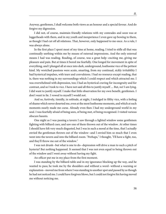Anyway, gentlemen, I shall welcome both views as an honour and a special favour. And do forgive my digression.

I did not, of course, maintain friendly relations with my comrades and soon was at loggerheads with them, and in my youth and inexperience I even gave up bowing to them, as though I had cut off all relations. That, however, only happened to me once. As a rule, I was always alone.

In the first place I spent most of my time at home, reading. I tried to stifle all that was continually seething within me by means of external impressions. And the only external means I had was reading. Reading, of course, was a great help--exciting me, giving me pleasure and pain. But at times it bored me fearfully. One longed for movement in spite of everything, and I plunged all at once into dark, underground, loathsome vice of the pettiest kind. My wretched passions were acute, smarting, from my continual, sickly irritability I had hysterical impulses, with tears and convulsions. I had no resource except reading, that is, there was nothing in my surroundings which I could respect and which attracted me. I was overwhelmed with depression, too; I had an hysterical craving for incongruity and for contrast, and so I took to vice. I have not said all this to justify myself .... But, no! I am lying. I did want to justify myself. I make that little observation for my own benefit, gentlemen. I don't want to lie. I vowed to myself I would not.

And so, furtively, timidly, in solitude, at night, I indulged in filthy vice, with a feeling of shame which never deserted me, even at the most loathsome moments, and which at such moments nearly made me curse. Already even then I had my underground world in my soul. I was fearfully afraid of being seen, of being met, of being recognised. I visited various obscure haunts.

One night as I was passing a tavern I saw through a lighted window some gentlemen fighting with billiard cues, and saw one of them thrown out of the window. At other times I should have felt very much disgusted, but I was in such a mood at the time, that I actually envied the gentleman thrown out of the window--and I envied him so much that I even went into the tavern and into the billiard-room. "Perhaps," I thought, "I'll have a fight, too, and they'll throw me out of the window."

I was not drunk--but what is one to do--depression will drive a man to such a pitch of hysteria? But nothing happened. It seemed that I was not even equal to being thrown out of the window and I went away without having my fight.

An officer put me in my place from the first moment.

I was standing by the billiard-table and in my ignorance blocking up the way, and he wanted to pass; he took me by the shoulders and without a word--without a warning or explanation--moved me from where I was standing to another spot and passed by as though he had not noticed me. I could have forgiven blows, but I could not forgive his having moved me without noticing me.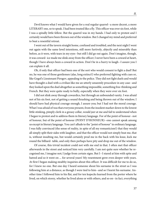Devil knows what I would have given for a real regular quarrel--a more decent, a more LITERARY one, so to speak. I had been treated like a fly. This officer was over six foot, while I was a spindly little fellow. But the quarrel was in my hands. I had only to protest and I certainly would have been thrown out of the window. But I changed my mind and preferred to beat a resentful retreat.

I went out of the tavern straight home, confused and troubled, and the next night I went out again with the same lewd intentions, still more furtively, abjectly and miserably than before, as it were, with tears in my eyes--but still I did go out again. Don't imagine, though, it was coward- ice made me slink away from the officer; I never have been a coward at heart, though I have always been a coward in action. Don't be in a hurry to laugh--I assure you I can explain it all.

Oh, if only that officer had been one of the sort who would consent to fight a duel! But no, he was one of those gentlemen (alas, long extinct!) who preferred fighting with cues or, like Gogol's Lieutenant Pirogov, appealing to the police. They did not fight duels and would have thought a duel with a civilian like me an utterly unseemly procedure in any case--and they looked upon the duel altogether as something impossible, something free-thinking and French. But they were quite ready to bully, especially when they were over six foot.

I did not slink away through cowardice, but through an unbounded vanity. I was afraid not of his six foot, not of getting a sound thrashing and being thrown out of the window; I should have had physical courage enough, I assure you; but I had not the moral courage. What I was afraid of was that everyone present, from the insolent marker down to the lowest little stinking, pimply clerk in a greasy collar, would jeer at me and fail to understand when I began to protest and to address them in literary language. For of the point of honour--not of honour, but of the point of honour (POINT D'HONNEUR)--one cannot speak among us except in literary language. You can't allude to the "point of honour" in ordinary language. I was fully convinced (the sense of reality, in spite of all my romanticism!) that they would all simply split their sides with laughter, and that the officer would not simply beat me, that is, without insulting me, but would certainly prod me in the back with his knee, kick me round the billiard- table, and only then perhaps have pity and drop me out of the window.

Of course, this trivial incident could not with me end in that. I often met that officer afterwards in the street and noticed him very carefully. I am not quite sure whether he recognised me, I imagine not; I judge from certain signs. But I--I stared at him with spite and hatred and so it went on ... for several years! My resentment grew even deeper with years. At first I began making stealthy inquiries about this officer. It was difficult for me to do so, for I knew no one. But one day I heard someone shout his surname in the street as I was following him at a distance, as though I were tied to him--and so I learnt his surname. Another time I followed him to his flat, and for ten kopecks learned from the porter where he lived, on which storey, whether he lived alone or with others, and so on--in fact, everything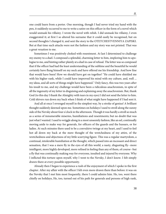one could learn from a porter. One morning, though I had never tried my hand with the pen, it suddenly occurred to me to write a satire on this officer in the form of a novel which would unmask his villainy. I wrote the novel with relish. I did unmask his villainy, I even exaggerated it; at first I so altered his surname that it could easily be recognised, but on second thoughts I changed it, and sent the story to the OTETCHESTVENNIYA ZAPISKI. But at that time such attacks were not the fashion and my story was not printed. That was a great vexation to me.

Sometimes I was positively choked with resentment. At last I determined to challenge my enemy to a duel. I composed a splendid, charming letter to him, imploring him to apologise to me, and hinting rather plainly at a duel in case of refusal. The letter was so composed that if the officer had had the least understanding of the sublime and the beautiful he would certainly have flung himself on my neck and have offered me his friendship. And how fine that would have been! How we should have got on together! "He could have shielded me with his higher rank, while I could have improved his mind with my culture, and, well ... my ideas, and all sorts of things might have happened." Only fancy, this was two years after his insult to me, and my challenge would have been a ridiculous anachronism, in spite of all the ingenuity of my letter in disguising and explaining away the anachronism. But, thank God (to this day I thank the Almighty with tears in my eyes) I did not send the letter to him. Cold shivers run down my back when I think of what might have happened if I had sent it.

And all at once I revenged myself in the simplest way, by a stroke of genius! A brilliant thought suddenly dawned upon me. Sometimes on holidays I used to stroll along the sunny side of the Nevsky about four o'clock in the afternoon. Though it was hardly a stroll so much as a series of innumerable miseries, humiliations and resentments; but no doubt that was just what I wanted. I used to wriggle along in a most unseemly fashion, like an eel, continually moving aside to make way for generals, for officers of the guards and the hussars, or for ladies. At such minutes there used to be a convulsive twinge at my heart, and I used to feel hot all down my back at the mere thought of the wretchedness of my attire, of the wretchedness and abjectness of my little scurrying figure. This was a regular martyrdom, a continual, intolerable humiliation at the thought, which passed into an incessant and direct sensation, that I was a mere fly in the eyes of all this world, a nasty, disgusting fly--more intelligent, more highly developed, more refined in feeling than any of them, of course--but a fly that was continually making way for everyone, insulted and injured by everyone. Why I inflicted this torture upon myself, why I went to the Nevsky, I don't know. I felt simply drawn there at every possible opportunity.

Already then I began to experience a rush of the enjoyment of which I spoke in the first chapter. After my affair with the officer I felt even more drawn there than before: it was on the Nevsky that I met him most frequently, there I could admire him. He, too, went there chiefly on holidays, He, too, turned out of his path for generals and persons of high rank,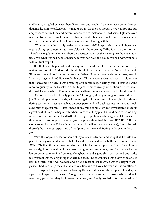and he too, wriggled between them like an eel; but people, like me, or even better dressed than me, he simply walked over; he made straight for them as though there was nothing but empty space before him, and never, under any circumstances, turned aside. I gloated over my resentment watching him and ... always resentfully made way for him. It exasperated me that even in the street I could not be on an even footing with him.

"Why must you invariably be the first to move aside?" I kept asking myself in hysterical rage, waking up sometimes at three o'clock in the morning. "Why is it you and not he? There's no regulation about it; there's no written law. Let the making way be equal as it usually is when refined people meet; he moves half-way and you move half-way; you pass with mutual respect."

But that never happened, and I always moved aside, while he did not even notice my making way for him. And lo and behold a bright idea dawned upon me! "What," I thought, "if I meet him and don't move on one side? What if I don't move aside on purpose, even if I knock up against him? How would that be?" This audacious idea took such a hold on me that it gave me no peace. I was dreaming of it continually, horribly, and I purposely went more frequently to the Nevsky in order to picture more vividly how I should do it when I did do it. I was delighted. This intention seemed to me more and more practical and possible.

"Of course I shall not really push him," I thought, already more good- natured in my joy. "I will simply not turn aside, will run up against him, not very violently, but just shouldering each other--just as much as decency permits. I will push against him just as much as he pushes against me." At last I made up my mind completely. But my preparations took a great deal of time. To begin with, when I carried out my plan I should need to be looking rather more decent, and so I had to think of my get-up. "In case of emergency, if, for instance, there were any sort of public scandal (and the public there is of the most RECHERCHE: the Countess walks there; Prince D. walks there; all the literary world is there), I must be well dressed; that inspires respect and of itself puts us on an equal footing in the eyes of the society."

With this object I asked for some of my salary in advance, and bought at Tchurkin's a pair of black gloves and a decent hat. Black gloves seemed to me both more dignified and BON TON than the lemon-coloured ones which I had contemplated at first. "The colour is too gaudy, it looks as though one were trying to be conspicuous," and I did not take the lemon-coloured ones. I had got ready long beforehand a good shirt, with white bone studs; my overcoat was the only thing that held me back. The coat in itself was a very good one, it kept me warm; but it was wadded and it had a raccoon collar which was the height of vulgarity. I had to change the collar at any sacrifice, and to have a beaver one like an officer's. For this purpose I began visiting the Gostiny Dvor and after several attempts I pitched upon a piece of cheap German beaver. Though these German beavers soon grow shabby and look wretched, yet at first they look exceedingly well, and I only needed it for the occasion. I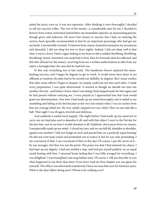asked the price; even so, it was too expensive. After thinking it over thoroughly I decided to sell my raccoon collar. The rest of the money--a considerable sum for me, I decided to borrow from Anton Antonitch Syetotchkin, my immediate superior, an unassuming person, though grave and judicious. He never lent money to anyone, but I had, on entering the service, been specially recommended to him by an important personage who had got me my berth. I was horribly worried. To borrow from Anton Antonitch seemed to me monstrous and shameful. I did not sleep for two or three nights. Indeed, I did not sleep well at that time, I was in a fever; I had a vague sinking at my heart or else a sudden throbbing, throbbing, throbbing! Anton Antonitch was surprised at first, then he frowned, then he reflected, and did after all lend me the money, receiving from me a written authorisation to take from my salary a fortnight later the sum that he had lent me.

In this way everything was at last ready. The handsome beaver replaced the meanlooking raccoon, and I began by degrees to get to work. It would never have done to act offhand, at random; the plan had to be carried out skilfully, by degrees. But I must confess that after many efforts I began to despair: we simply could not run into each other. I made every preparation, I was quite determined--it seemed as though we should run into one another directly--and before I knew what I was doing I had stepped aside for him again and he had passed without noticing me. I even prayed as I approached him that God would grant me determination. One time I had made up my mind thoroughly, but it ended in my stumbling and falling at his feet because at the very last instant when I was six inches from him my courage failed me. He very calmly stepped over me, while I flew on one side like a ball. That night I was ill again, feverish and delirious.

And suddenly it ended most happily. The night before I had made up my mind not to carry out my fatal plan and to abandon it all, and with that object I went to the Nevsky for the last time, just to see how I would abandon it all. Suddenly, three paces from my enemy, I unexpectedly made up my mind--I closed my eyes, and we ran full tilt, shoulder to shoulder, against one another! I did not budge an inch and passed him on a perfectly equal footing! He did not even look round and pretended not to notice it; but he was only pretending, I am convinced of that. I am convinced of that to this day! Of course, I got the worst of it- he was stronger, but that was not the point. The point was that I had attained my object, I had kept up my dignity, I had not yielded a step, and had put myself publicly on an equal social footing with him. I returned home feeling that I was fully avenged for everything. I was delighted. I was triumphant and sang Italian arias. Of course, I will not describe to you what happened to me three days later; if you have read my first chapter you can guess for yourself. The officer was afterwards transferred; I have not seen him now for fourteen years. What is the dear fellow doing now? Whom is he walking over?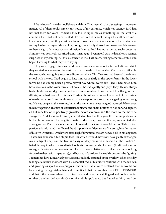I found two of my old schoolfellows with him. They seemed to be discussing an important matter. All of them took scarcely any notice of my entrance, which was strange, for I had not met them for years. Evidently they looked upon me as something on the level of a common fly. I had not been treated like that even at school, though they all hated me. I knew, of course, that they must despise me now for my lack of success in the service, and for my having let myself sink so low, going about badly dressed and so on--which seemed to them a sign of my incapacity and insignificance. But I had not expected such contempt. Simonov was positively surprised at my turning up. Even in old days he had always seemed surprised at my coming. All this disconcerted me: I sat down, feeling rather miserable, and began listening to what they were saying.

They were engaged in warm and earnest conversation about a farewell dinner which they wanted to arrange for the next day to a comrade of theirs called Zverkov, an officer in the army, who was going away to a distant province. This Zverkov had been all the time at school with me too. I had begun to hate him particularly in the upper forms. In the lower forms he had simply been a pretty, playful boy whom everybody liked. I had hated him, however, even in the lower forms, just because he was a pretty and playful boy. He was always bad at his lessons and got worse and worse as he went on; however, he left with a good certificate, as he had powerful interests. During his last year at school he came in for an estate of two hundred serfs, and as almost all of us were poor he took up a swaggering tone among us. He was vulgar in the extreme, but at the same time he was a good-natured fellow, even in his swaggering. In spite of superficial, fantastic and sham notions of honour and dignity, all but very few of us positively grovelled before Zverkov, and the more so the more he swaggered. And it was not from any interested motive that they grovelled, but simply because he had been favoured by the gifts of nature. Moreover, it was, as it were, an accepted idea among us that Zverkov was a specialist in regard to tact and the social graces. This last fact particularly infuriated me. I hated the abrupt self-confident tone of his voice, his admiration of his own witticisms, which were often frightfully stupid, though he was bold in his language; I hated his handsome, but stupid face (for which I would, however, have gladly exchanged my intelligent one), and the free-and-easy military manners in fashion in the "'forties." I hated the way in which he used to talk of his future conquests of women (he did not venture to begin his attack upon women until he had the epaulettes of an officer, and was looking forward to them with impatience), and boasted of the duels he would constantly be fighting. I remember how I, invariably so taciturn, suddenly fastened upon Zverkov, when one day talking at a leisure moment with his schoolfellows of his future relations with the fair sex, and growing as sportive as a puppy in the sun, he all at once declared that he would not leave a single village girl on his estate unnoticed, that that was his DROIT DE SEIGNEUR, and that if the peasants dared to protest he would have them all flogged and double the tax on them, the bearded rascals. Our servile rabble applauded, but I attacked him, not from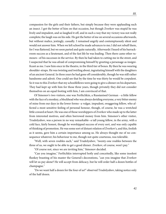compassion for the girls and their fathers, but simply because they were applauding such an insect. I got the better of him on that occasion, but though Zverkov was stupid he was lively and impudent, and so laughed it off, and in such a way that my victory was not really complete; the laugh was on his side. He got the better of me on several occasions afterwards, but without malice, jestingly, casually. I remained angrily and contemptuously silent and would not answer him. When we left school he made advances to me; I did not rebuff them, for I was flattered, but we soon parted and quite naturally. Afterwards I heard of his barrackroom success as a lieutenant, and of the fast life he was leading. Then there came other rumours--of his successes in the service. By then he had taken to cutting me in the street, and I suspected that he was afraid of compromising himself by greeting a personage as insignificant as me. I saw him once in the theatre, in the third tier of boxes. By then he was wearing shoulder-straps. He was twisting and twirling about, ingratiating himself with the daughters of an ancient General. In three years he had gone off considerably, though he was still rather handsome and adroit. One could see that by the time he was thirty he would be corpulent. So it was to this Zverkov that my schoolfellows were going to give a dinner on his departure. They had kept up with him for those three years, though privately they did not consider themselves on an equal footing with him, I am convinced of that.

Of Simonov's two visitors, one was Ferfitchkin, a Russianised German --a little fellow with the face of a monkey, a blockhead who was always deriding everyone, a very bitter enemy of mine from our days in the lower forms--a vulgar, impudent, swaggering fellow, who affected a most sensitive feeling of personal honour, though, of course, he was a wretched little coward at heart. He was one of those worshippers of Zverkov who made up to the latter from interested motives, and often borrowed money from him. Simonov's other visitor, Trudolyubov, was a person in no way remarkable--a tall young fellow, in the army, with a cold face, fairly honest, though he worshipped success of every sort, and was only capable of thinking of promotion. He was some sort of distant relation of Zverkov's, and this, foolish as it seems, gave him a certain importance among us. He always thought me of no consequence whatever; his behaviour to me, though not quite courteous, was tolerable.

"Well, with seven roubles each," said Trudolyubov, "twenty-one roubles between the three of us, we ought to be able to get a good dinner. Zverkov, of course, won't pay."

"Of course not, since we are inviting him," Simonov decided.

"Can you imagine," Ferfitchkin interrupted hotly and conceitedly, like some insolent flunkey boasting of his master the General's decorations, "can you imagine that Zverkov will let us pay alone? He will accept from delicacy, but he will order half a dozen bottles of champagne."

"Do we want half a dozen for the four of us?" observed Trudolyubov, taking notice only of the half dozen.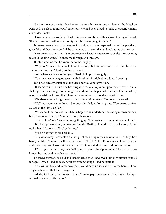"So the three of us, with Zverkov for the fourth, twenty-one roubles, at the Hotel de Paris at five o'clock tomorrow," Simonov, who had been asked to make the arrangements, concluded finally.

"How twenty-one roubles?" I asked in some agitation, with a show of being offended; "if you count me it will not be twenty-one, but twenty-eight roubles."

It seemed to me that to invite myself so suddenly and unexpectedly would be positively graceful, and that they would all be conquered at once and would look at me with respect.

"Do you want to join, too?" Simonov observed, with no appearance of pleasure, seeming to avoid looking at me. He knew me through and through.

It infuriated me that he knew me so thoroughly.

"Why not? I am an old schoolfellow of his, too, I believe, and I must own I feel hurt that you have left me out," I said, boiling over again.

"And where were we to find you?" Ferfitchkin put in roughly.

"You never were on good terms with Zverkov," Trudolyubov added, frowning.

But I had already clutched at the idea and would not give it up.

"It seems to me that no one has a right to form an opinion upon that," I retorted in a shaking voice, as though something tremendous had happened. "Perhaps that is just my reason for wishing it now, that I have not always been on good terms with him."

"Oh, there's no making you out ... with these refinements," Trudolyubov jeered.

"We'll put your name down," Simonov decided, addressing me. "Tomorrow at fiveo'clock at the Hotel de Paris."

"What about the money?" Ferfitchkin began in an undertone, indicating me to Simonov, but he broke off, for even Simonov was embarrassed.

"That will do," said Trudolyubov, getting up. "If he wants to come so much, let him."

"But it's a private thing, between us friends," Ferfitchkin said crossly, as he, too, picked up his hat. "It's not an official gathering."

"We do not want at all, perhaps ..."

They went away. Ferfitchkin did not greet me in any way as he went out, Trudolyubov barely nodded. Simonov, with whom I was left TETE-A-TETE, was in a state of vexation and perplexity, and looked at me queerly. He did not sit down and did not ask me to.

"H'm ... yes ... tomorrow, then. Will you pay your subscription now? I just ask so as to know," he muttered in embarrassment.

I flushed crimson, as I did so I remembered that I had owed Simonov fifteen roubles for ages--which I had, indeed, never forgotten, though I had not paid it.

"You will understand, Simonov, that I could have no idea when I came here .... I am very much vexed that I have forgotten ...."

"All right, all right, that doesn't matter. You can pay tomorrow after the dinner. I simply wanted to know .... Please don't ..."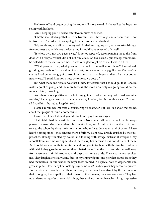He broke off and began pacing the room still more vexed. As he walked he began to stamp with his heels.

"Am I keeping you?" I asked, after two minutes of silence.

"Oh!" he said, starting, "that is--to be truthful--yes. I have to go and see someone ... not far from here," he added in an apologetic voice, somewhat abashed.

"My goodness, why didn't you say so?" I cried, seizing my cap, with an astonishingly free-and-easy air, which was the last thing I should have expected of myself.

"It's close by ... not two paces away," Simonov repeated, accompanying me to the front door with a fussy air which did not suit him at all. "So five o'clock, punctually, tomorrow," he called down the stairs after me. He was very glad to get rid of me. I was in a fury.

"What possessed me, what possessed me to force myself upon them?" I wondered, grinding my teeth as I strode along the street, "for a scoundrel, a pig like that Zverkov! Of course I had better not go; of course, I must just snap my fingers at them. I am not bound in any way. I'll send Simonov a note by tomorrow's post ...."

But what made me furious was that I knew for certain that I should go, that I should make a point of going; and the more tactless, the more unseemly my going would be, the more certainly I would go.

And there was a positive obstacle to my going: I had no money. All I had was nine roubles, I had to give seven of that to my servant, Apollon, for his monthly wages. That was all I paid him--he had to keep himself.

Not to pay him was impossible, considering his character. But I will talk about that fellow, about that plague of mine, another time.

However, I knew I should go and should not pay him his wages.

That night I had the most hideous dreams. No wonder; all the evening I had been oppressed by memories of my miserable days at school, and I could not shake them off. I was sent to the school by distant relations, upon whom I was dependent and of whom I have heard nothing since-- they sent me there a forlorn, silent boy, already crushed by their reproaches, already troubled by doubt, and looking with savage distrust at everyone. My schoolfellows met me with spiteful and merciless jibes because I was not like any of them. But I could not endure their taunts; I could not give in to them with the ignoble readiness with which they gave in to one another. I hated them from the first, and shut myself away from everyone in timid, wounded and disproportionate pride. Their coarseness revolted me. They laughed cynically at my face, at my clumsy figure; and yet what stupid faces they had themselves. In our school the boys' faces seemed in a special way to degenerate and grow stupider. How many fine-looking boys came to us! In a few years they became repulsive. Even at sixteen I wondered at them morosely; even then I was struck by the pettiness of their thoughts, the stupidity of their pursuits, their games, their conversations. They had no understanding of such essential things, they took no interest in such striking, impressive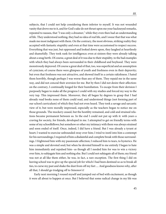subjects, that I could not help considering them inferior to myself. It was not wounded vanity that drove me to it, and for God's sake do not thrust upon me your hackneyed remarks, repeated to nausea, that "I was only a dreamer," while they even then had an understanding of life. They understood nothing, they had no idea of real life, and I swear that that was what made me most indignant with them. On the contrary, the most obvious, striking reality they accepted with fantastic stupidity and even at that time were accustomed to respect success. Everything that was just, but oppressed and looked down upon, they laughed at heartlessly and shamefully. They took rank for intelligence; even at sixteen they were already talking about a snug berth. Of course, a great deal of it was due to their stupidity, to the bad examples with which they had always been surrounded in their childhood and boyhood. They were monstrously depraved. Of course a great deal of that, too, was superficial and an assumption of cynicism; of course there were glimpses of youth and freshness even in their depravity; but even that freshness was not attractive, and showed itself in a certain rakishness. I hated them horribly, though perhaps I was worse than any of them. They repaid me in the same way, and did not conceal their aversion for me. But by then I did not desire their affection: on the contrary, I continually longed for their humiliation. To escape from their derision I purposely began to make all the progress I could with my studies and forced my way to the very top. This impressed them. Moreover, they all began by degrees to grasp that I had already read books none of them could read, and understood things (not forming part of our school curriculum) of which they had not even heard. They took a savage and sarcastic view of it, but were morally impressed, especially as the teachers began to notice me on those grounds. The mockery ceased, but the hostility remained, and cold and strained relations became permanent between us. In the end I could not put up with it: with years a craving for society, for friends, developed in me. I attempted to get on friendly terms with some of my schoolfellows; but somehow or other my intimacy with them was always strained and soon ended of itself. Once, indeed, I did have a friend. But I was already a tyrant at heart; I wanted to exercise unbounded sway over him; I tried to instil into him a contempt for his surroundings; I required of him a disdainful and complete break with those surroundings. I frightened him with my passionate affection; I reduced him to tears, to hysterics. He was a simple and devoted soul; but when he devoted himself to me entirely I began to hate him immediately and repulsed him--as though all I needed him for was to win a victory over him, to subjugate him and nothing else. But I could not subjugate all of them; my friend was not at all like them either, he was, in fact, a rare exception. The first thing I did on leaving school was to give up the special job for which I had been destined so as to break all ties, to curse my past and shake the dust from off my feet .... And goodness knows why, after all that, I should go trudging off to Simonov's!

Early next morning I roused myself and jumped out of bed with excitement, as though it were all about to happen at once. But I believed that some radical change in my life was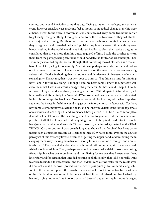coming, and would inevitably come that day. Owing to its rarity, perhaps, any external event, however trivial, always made me feel as though some radical change in my life were at hand. I went to the office, however, as usual, but sneaked away home two hours earlier to get ready. The great thing, I thought, is not to be the first to arrive, or they will think I am overjoyed at coming. But there were thousands of such great points to consider, and they all agitated and overwhelmed me. I polished my boots a second time with my own hands; nothing in the world would have induced Apollon to clean them twice a day, as he considered that it was more than his duties required of him. I stole the brushes to clean them from the passage, being careful he should not detect it, for fear of his contempt. Then I minutely examined my clothes and thought that everything looked old, worn and threadbare. I had let myself get too slovenly. My uniform, perhaps, was tidy, but I could not go out to dinner in my uniform. The worst of it was that on the knee of my trousers was a big yellow stain. I had a foreboding that that stain would deprive me of nine-tenths of my personal dignity. I knew, too, that it was very poor to think so. "But this is no time for thinking: now I am in for the real thing," I thought, and my heart sank. I knew, too, perfectly well even then, that I was monstrously exaggerating the facts. But how could I help it? I could not control myself and was already shaking with fever. With despair I pictured to myself how coldly and disdainfully that "scoundrel" Zverkov would meet me; with what dull-witted, invincible contempt the blockhead Trudolyubov would look at me; with what impudent rudeness the insect Ferfitchkin would snigger at me in order to curry favour with Zverkov; how completely Simonov would take it all in, and how he would despise me for the abjectness of my vanity and lack of spirit--and, worst of all, how paltry, UNLITERARY, commonplace it would all be. Of course, the best thing would be not to go at all. But that was most impossible of all: if I feel impelled to do anything, I seem to be pitchforked into it. I should have jeered at myself ever afterwards: "So you funked it, you funked it, you funked the REAL THING!" On the contrary, I passionately longed to show all that "rabble" that I was by no means such a spiritless creature as I seemed to myself. What is more, even in the acutest paroxysm of this cowardly fever, I dreamed of getting the upper hand, of dominating them, carrying them away, making them like me--if only for my "elevation of thought and unmistakable wit." They would abandon Zverkov, he would sit on one side, silent and ashamed, while I should crush him. Then, perhaps, we would be reconciled and drink to our everlasting friendship; but what was most bitter and humiliating for me was that I knew even then, knew fully and for certain, that I needed nothing of all this really, that I did not really want to crush, to subdue, to attract them, and that I did not care a straw really for the result, even if I did achieve it. Oh, how I prayed for the day to pass quickly! In unutterable anguish I went to the window, opened the movable pane and looked out into the troubled darkness of the thickly falling wet snow. At last my wretched little clock hissed out five. I seized my hat and, trying not to look at Apollon, who had been all day expecting his month's wages,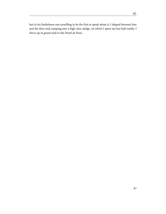but in his foolishness was unwilling to be the first to speak about it, I slipped between him and the door and, jumping into a high-class sledge, on which I spent my last half rouble, I drove up in grand style to the Hotel de Paris.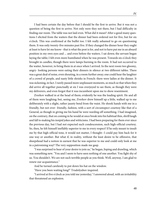I had been certain the day before that I should be the first to arrive. But it was not a question of being the first to arrive. Not only were they not there, but I had difficulty in finding our room. The table was not laid even. What did it mean? After a good many questions I elicited from the waiters that the dinner had been ordered not for five, but for six o'clock. This was confirmed at the buffet too. I felt really ashamed to go on questioning them. It was only twenty-five minutes past five. If they changed the dinner hour they ought at least to have let me know--that is what the post is for, and not to have put me in an absurd position in my own eyes and ... and even before the waiters. I sat down; the servant began laying the table; I felt even more humiliated when he was present. Towards six o'clock they brought in candles, though there were lamps burning in the room. It had not occurred to the waiter, however, to bring them in at once when I arrived. In the next room two gloomy, angry- looking persons were eating their dinners in silence at two different tables. There was a great deal of noise, even shouting, in a room further away; one could hear the laughter of a crowd of people, and nasty little shrieks in French: there were ladies at the dinner. It was sickening, in fact. I rarely passed more unpleasant moments, so much so that when they did arrive all together punctually at six I was overjoyed to see them, as though they were my deliverers, and even forgot that it was incumbent upon me to show resentment.

Zverkov walked in at the head of them; evidently he was the leading spirit. He and all of them were laughing; but, seeing me, Zverkov drew himself up a little, walked up to me deliberately with a slight, rather jaunty bend from the waist. He shook hands with me in a friendly, but not over- friendly, fashion, with a sort of circumspect courtesy like that of a General, as though in giving me his hand he were warding off something. I had imagined, on the contrary, that on coming in he would at once break into his habitual thin, shrill laugh and fall to making his insipid jokes and witticisms. I had been preparing for them ever since the previous day, but I had not expected such condescension, such high-official courtesy. So, then, he felt himself ineffably superior to me in every respect! If he only meant to insult me by that high-official tone, it would not matter, I thought--I could pay him back for it one way or another. But what if, in reality, without the least desire to be offensive, that sheepshead had a notion in earnest that he was superior to me and could only look at me in a patronising way? The very supposition made me gasp.

"I was surprised to hear of your desire to join us," he began, lisping and drawling, which was something new. "You and I seem to have seen nothing of one another. You fight shy of us. You shouldn't. We are not such terrible people as you think. Well, anyway, I am glad to renew our acquaintance."

And he turned carelessly to put down his hat on the window.

"Have you been waiting long?" Trudolyubov inquired.

"I arrived at five o'clock as you told me yesterday," I answered aloud, with an irritability that threatened an explosion.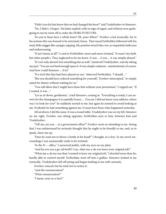"Didn't you let him know that we had changed the hour?" said Trudolyubov to Simonov.

"No, I didn't. I forgot," the latter replied, with no sign of regret, and without even apologising to me he went off to order the HORS D'OEUVRE.

"So you've been here a whole hour? Oh, poor fellow!" Zverkov cried ironically, for to his notions this was bound to be extremely funny. That rascal Ferfitchkin followed with his nasty little snigger like a puppy yapping. My position struck him, too, as exquisitely ludicrous and embarrassing.

"It isn't funny at all!" I cried to Ferfitchkin, more and more irritated. "It wasn't my fault, but other people's. They neglected to let me know. It was ... it was ... it was simply absurd."

"It's not only absurd, but something else as well," muttered Trudolyubov, naively taking my part. "You are not hard enough upon it. It was simply rudeness--unintentional, of course. And how could Simonov ... h'm!"

"If a trick like that had been played on me," observed Ferfitchkin, "I should ..."

"But you should have ordered something for yourself," Zverkov interrupted, "or simply asked for dinner without waiting for us."

"You will allow that I might have done that without your permission," I rapped out. "If I waited, it was ..."

"Let us sit down, gentlemen," cried Simonov, coming in. "Everything is ready; I can answer for the champagne; it is capitally frozen .... You see, I did not know your address, where was I to look for you?" he suddenly turned to me, but again he seemed to avoid looking at me. Evidently he had something against me. It must have been what happened yesterday.

All sat down; I did the same. It was a round table. Trudolyubov was on my left, Simonov on my right, Zverkov was sitting opposite, Ferfitchkin next to him, between him and Trudolyubov.

"Tell me, are you ... in a government office?" Zverkov went on attending to me. Seeing that I was embarrassed he seriously thought that he ought to be friendly to me, and, so to speak, cheer me up.

"Does he want me to throw a bottle at his head?" I thought, in a fury. In my novel surroundings I was unnaturally ready to be irritated.

"In the N--- office," I answered jerkily, with my eyes on my plate.

"And ha-ave you a go-od berth? I say, what ma-a-de you leave your original job?"

"What ma-a-de me was that I wanted to leave my original job," I drawled more than he, hardly able to control myself. Ferfitchkin went off into a guffaw. Simonov looked at me ironically. Trudolyubov left off eating and began looking at me with curiosity.

Zverkov winced, but he tried not to notice it.

"And the remuneration?"

"What remuneration?"

"I mean, your sa-a-lary?"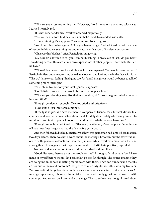"Why are you cross-examining me?" However, I told him at once what my salary was. I turned horribly red.

"It is not very handsome," Zverkov observed majestically.

"Yes, you can't afford to dine at cafes on that," Ferfitchkin added insolently.

"To my thinking it's very poor," Trudolyubov observed gravely.

"And how thin you have grown! How you have changed!" added Zverkov, with a shade of venom in his voice, scanning me and my attire with a sort of insolent compassion.

"Oh, spare his blushes," cried Ferfitchkin, sniggering.

"My dear sir, allow me to tell you I am not blushing," I broke out at last; "do you hear? I am dining here, at this cafe, at my own expense, not at other people's--note that, Mr. Ferfitchkin."

"Wha-at? Isn't every one here dining at his own expense? You would seem to be ..." Ferfitchkin flew out at me, turning as red as a lobster, and looking me in the face with fury. "Tha-at," I answered, feeling I had gone too far, "and I imagine it would be better to talk of something more intelligent."

"You intend to show off your intelligence, I suppose?"

"Don't disturb yourself, that would be quite out of place here."

"Why are you clacking away like that, my good sir, eh? Have you gone out of your wits in your office?"

"Enough, gentlemen, enough!" Zverkov cried, authoritatively.

"How stupid it is!" muttered Simonov.

"It really is stupid. We have met here, a company of friends, for a farewell dinner to a comrade and you carry on an altercation," said Trudolyubov, rudely addressing himself to me alone. "You invited yourself to join us, so don't disturb the general harmony."

"Enough, enough!" cried Zverkov. "Give over, gentlemen, it's out of place. Better let me tell you how I nearly got married the day before yesterday ...."

And then followed a burlesque narrative of how this gentleman had almost been married two days before. There was not a word about the marriage, however, but the story was adorned with generals, colonels and kammer-junkers, while Zverkov almost took the lead among them. It was greeted with approving laughter; Ferfitchkin positively squealed.

No one paid any attention to me, and I sat crushed and humiliated.

"Good Heavens, these are not the people for me!" I thought. "And what a fool I have made of myself before them! I let Ferfitchkin go too far, though. The brutes imagine they are doing me an honour in letting me sit down with them. They don't understand that it's an honour to them and not to me! I've grown thinner! My clothes! Oh, damn my trousers! Zverkov noticed the yellow stain on the knee as soon as he came in .... But what's the use! I must get up at once, this very minute, take my hat and simply go without a word ... with contempt! And tomorrow I can send a challenge. The scoundrels! As though I cared about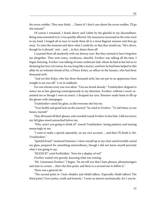the seven roubles. They may think .... Damn it! I don't care about the seven roubles. I'll go this minute!"

Of course I remained. I drank sherry and Lafitte by the glassful in my discomfiture. Being unaccustomed to it, I was quickly affected. My annoyance increased as the wine went to my head. I longed all at once to insult them all in a most flagrant manner and then go away. To seize the moment and show what I could do, so that they would say, "He's clever, though he is absurd," and ... and ... in fact, damn them all!

I scanned them all insolently with my drowsy eyes. But they seemed to have forgotten me altogether. They were noisy, vociferous, cheerful. Zverkov was talking all the time. I began listening. Zverkov was talking of some exuberant lady whom he had at last led on to declaring her love (of course, he was lying like a horse), and how he had been helped in this affair by an intimate friend of his, a Prince Kolya, an officer in the hussars, who had three thousand serfs.

"And yet this Kolya, who has three thousand serfs, has not put in an appearance here tonight to see you off," I cut in suddenly.

For one minute every one was silent. "You are drunk already." Trudolyubov deigned to notice me at last, glancing contemptuously in my direction. Zverkov, without a word, examined me as though I were an insect. I dropped my eyes. Simonov made haste to fill up the glasses with champagne.

Trudolyubov raised his glass, as did everyone else but me.

"Your health and good luck on the journey!" he cried to Zverkov. "To old times, to our future, hurrah!"

They all tossed off their glasses, and crowded round Zverkov to kiss him. I did not move; my full glass stood untouched before me.

"Why, aren't you going to drink it?" roared Trudolyubov, losing patience and turning menacingly to me.

"I want to make a speech separately, on my own account ... and then I'll drink it, Mr. Trudolyubov."

"Spiteful brute!" muttered Simonov. I drew myself up in my chair and feverishly seized my glass, prepared for something extraordinary, though I did not know myself precisely what I was going to say.

"SILENCE!" cried Ferfitchkin. "Now for a display of wit!"

Zverkov waited very gravely, knowing what was coming.

"Mr. Lieutenant Zverkov," I began, "let me tell you that I hate phrases, phrasemongers and men in corsets ... that's the first point, and there is a second one to follow it."

There was a general stir.

"The second point is: I hate ribaldry and ribald talkers. Especially ribald talkers! The third point: I love justice, truth and honesty." I went on almost mechanically, for I was be-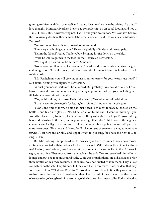ginning to shiver with horror myself and had no idea how I came to be talking like this. "I love thought, Monsieur Zverkov; I love true comradeship, on an equal footing and not ... H'm ... I love ... But, however, why not? I will drink your health, too, Mr. Zverkov. Seduce the Circassian girls, shoot the enemies of the fatherland and ... and ... to your health, Monsieur Zverkov!"

Zverkov got up from his seat, bowed to me and said:

"I am very much obliged to you." He was frightfully offended and turned pale.

"Damn the fellow!" roared Trudolyubov, bringing his fist down on the table.

"Well, he wants a punch in the face for that," squealed Ferfitchkin.

"We ought to turn him out," muttered Simonov.

"Not a word, gentlemen, not a movement!" cried Zverkov solemnly, checking the general indignation. "I thank you all, but I can show him for myself how much value I attach to his words."

"Mr. Ferfitchkin, you will give me satisfaction tomorrow for your words just now!" I said aloud, turning with dignity to Ferfitchkin.

"A duel, you mean? Certainly," he answered. But probably I was so ridiculous as I challenged him and it was so out of keeping with my appearance that everyone including Ferfitchkin was prostrate with laughter.

"Yes, let him alone, of course! He is quite drunk," Trudolyubov said with disgust.

"I shall never forgive myself for letting him join us," Simonov muttered again.

"Now is the time to throw a bottle at their heads," I thought to myself. I picked up the bottle ... and filled my glass .... "No, I'd better sit on to the end," I went on thinking; "you would be pleased, my friends, if I went away. Nothing will induce me to go. I'll go on sitting here and drinking to the end, on purpose, as a sign that I don't think you of the slightest consequence. I will go on sitting and drinking, because this is a public-house and I paid my entrance money. I'll sit here and drink, for I look upon you as so many pawns, as inanimate pawns. I'll sit here and drink ... and sing if I want to, yes, sing, for I have the right to ... to sing ... H'm!"

But I did not sing. I simply tried not to look at any of them. I assumed most unconcerned attitudes and waited with impatience for them to speak FIRST. But alas, they did not address me! And oh, how I wished, how I wished at that moment to be reconciled to them! It struck eight, at last nine. They moved from the table to the sofa. Zverkov stretched himself on a lounge and put one foot on a round table. Wine was brought there. He did, as a fact, order three bottles on his own account. I, of course, was not invited to join them. They all sat round him on the sofa. They listened to him, almost with reverence. It was evident that they were fond of him. "What for? What for?" I wondered. From time to time they were moved to drunken enthusiasm and kissed each other. They talked of the Caucasus, of the nature of true passion, of snug berths in the service, of the income of an hussar called Podharzhevsky,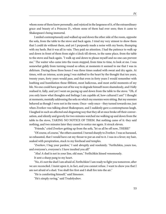whom none of them knew personally, and rejoiced in the largeness of it, of the extraordinary grace and beauty of a Princess D., whom none of them had ever seen; then it came to Shakespeare's being immortal.

I smiled contemptuously and walked up and down the other side of the room, opposite the sofa, from the table to the stove and back again. I tried my very utmost to show them that I could do without them, and yet I purposely made a noise with my boots, thumping with my heels. But it was all in vain. They paid no attention. I had the patience to walk up and down in front of them from eight o'clock till eleven, in the same place, from the table to the stove and back again. "I walk up and down to please myself and no one can prevent me." The waiter who came into the room stopped, from time to time, to look at me. I was somewhat giddy from turning round so often; at moments it seemed to me that I was in delirium. During those three hours I was three times soaked with sweat and dry again. At times, with an intense, acute pang I was stabbed to the heart by the thought that ten years, twenty years, forty years would pass, and that even in forty years I would remember with loathing and humiliation those filthiest, most ludicrous, and most awful moments of my life. No one could have gone out of his way to degrade himself more shamelessly, and I fully realised it, fully, and yet I went on pacing up and down from the table to the stove. "Oh, if you only knew what thoughts and feelings I am capable of, how cultured I am!" I thought at moments, mentally addressing the sofa on which my enemies were sitting. But my enemies behaved as though I were not in the room. Once--only once-- they turned towards me, just when Zverkov was talking about Shakespeare, and I suddenly gave a contemptuous laugh. I laughed in such an affected and disgusting way that they all at once broke off their conversation, and silently and gravely for two minutes watched me walking up and down from the table to the stove, TAKING NO NOTICE OF THEM. But nothing came of it: they said nothing, and two minutes later they ceased to notice me again. It struck eleven.

"Friends," cried Zverkov getting up from the sofa, "let us all be off now, THERE!"

"Of course, of course," the others assented. I turned sharply to Zverkov. I was so harassed, so exhausted, that I would have cut my throat to put an end to it. I was in a fever; my hair, soaked with perspiration, stuck to my forehead and temples.

"Zverkov, I beg your pardon," I said abruptly and resolutely. "Ferfitchkin, yours too, and everyone's, everyone's: I have insulted you all!"

"Aha! A duel is not in your line, old man," Ferfitchkin hissed venomously.

It sent a sharp pang to my heart.

"No, it's not the duel I am afraid of, Ferfitchkin! I am ready to fight you tomorrow, after we are reconciled. I insist upon it, in fact, and you cannot refuse. I want to show you that I am not afraid of a duel. You shall fire first and I shall fire into the air."

"He is comforting himself," said Simonov.

"He's simply raving," said Trudolyubov.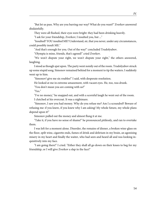"But let us pass. Why are you barring our way? What do you want?" Zverkov answered disdainfully.

They were all flushed, their eyes were bright: they had been drinking heavily.

"I ask for your friendship, Zverkov; I insulted you, but ..."

"Insulted? YOU insulted ME? Understand, sir, that you never, under any circumstances, could possibly insult ME."

"And that's enough for you. Out of the way!" concluded Trudolyubov.

"Olympia is mine, friends, that's agreed!" cried Zverkov.

"We won't dispute your right, we won't dispute your right," the others answered, laughing.

I stood as though spat upon. The party went noisily out of the room. Trudolyubov struck up some stupid song. Simonov remained behind for a moment to tip the waiters. I suddenly went up to him.

"Simonov! give me six roubles!" I said, with desperate resolution.

He looked at me in extreme amazement, with vacant eyes. He, too, was drunk.

"You don't mean you are coming with us?"

"Yes."

"I've no money," he snapped out, and with a scornful laugh he went out of the room. I clutched at his overcoat. It was a nightmare.

"Simonov, I saw you had money. Why do you refuse me? Am I a scoundrel? Beware of refusing me: if you knew, if you knew why I am asking! My whole future, my whole plans depend upon it!"

Simonov pulled out the money and almost flung it at me.

"Take it, if you have no sense of shame!" he pronounced pitilessly, and ran to overtake them.

I was left for a moment alone. Disorder, the remains of dinner, a broken wine-glass on the floor, spilt wine, cigarette ends, fumes of drink and delirium in my brain, an agonising misery in my heart and finally the waiter, who had seen and heard all and was looking inquisitively into my face.

"I am going there!" I cried. "Either they shall all go down on their knees to beg for my friendship, or I will give Zverkov a slap in the face!"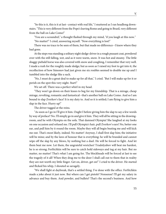"So this is it, this is it at last--contact with real life," I muttered as I ran headlong downstairs. "This is very different from the Pope's leaving Rome and going to Brazil, very different from the ball on Lake Como!"

"You are a scoundrel," a thought flashed through my mind, "if you laugh at this now." "No matter!" I cried, answering myself. "Now everything is lost!"

There was no trace to be seen of them, but that made no difference--I knew where they had gone.

At the steps was standing a solitary night sledge-driver in a rough peasant coat, powdered over with the still falling, wet, and as it were warm, snow. It was hot and steamy. The little shaggy piebald horse was also covered with snow and coughing, I remember that very well. I made a rush for the roughly made sledge; but as soon as I raised my foot to get into it, the recollection of how Simonov had just given me six roubles seemed to double me up and I tumbled into the sledge like a sack.

"No, I must do a great deal to make up for all that," I cried. "But I will make up for it or perish on the spot this very night. Start!"

We set off. There was a perfect whirl in my head.

"They won't go down on their knees to beg for my friendship. That is a mirage, cheap mirage, revolting, romantic and fantastical--that's another ball on Lake Como. And so I am bound to slap Zverkov's face! It is my duty to. And so it is settled; I am flying to give him a slap in the face. Hurry up!"

The driver tugged at the reins.

"As soon as I go in I'll give it him. Ought I before giving him the slap to say a few words by way of preface? No. I'll simply go in and give it him. They will all be sitting in the drawingroom, and he with Olympia on the sofa. That damned Olympia! She laughed at my looks on one occasion and refused me. I'll pull Olympia's hair, pull Zverkov's ears! No, better one ear, and pull him by it round the room. Maybe they will all begin beating me and will kick me out. That's most likely, indeed. No matter! Anyway, I shall first slap him; the initiative will be mine; and by the laws of honour that is everything: he will be branded and cannot wipe off the slap by any blows, by nothing but a duel. He will be forced to fight. And let them beat me now. Let them, the ungrateful wretches! Trudolyubov will beat me hardest, he is so strong; Ferfitchkin will be sure to catch hold sideways and tug at my hair. But no matter, no matter! That's what I am going for. The blockheads will be forced at last to see the tragedy of it all! When they drag me to the door I shall call out to them that in reality they are not worth my little finger. Get on, driver, get on!" I cried to the driver. He started and flicked his whip, I shouted so savagely.

"We shall fight at daybreak, that's a settled thing. I've done with the office. Ferfitchkin made a joke about it just now. But where can I get pistols? Nonsense! I'll get my salary in advance and buy them. And powder, and bullets? That's the second's business. And how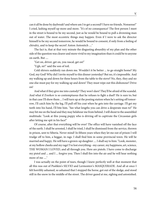can it all be done by daybreak? and where am I to get a second? I have no friends. Nonsense!" I cried, lashing myself up more and more. "It's of no consequence! The first person I meet in the street is bound to be my second, just as he would be bound to pull a drowning man out of water. The most eccentric things may happen. Even if I were to ask the director himself to be my second tomorrow, he would be bound to consent, if only from a feeling of chivalry, and to keep the secret! Anton Antonitch ...."

The fact is, that at that very minute the disgusting absurdity of my plan and the other side of the question was clearer and more vivid to my imagination than it could be to anyone on earth. But ....

"Get on, driver, get on, you rascal, get on!"

"Ugh, sir!" said the son of toil.

Cold shivers suddenly ran down me. Wouldn't it be better ... to go straight home? My God, my God! Why did I invite myself to this dinner yesterday? But no, it's impossible. And my walking up and down for three hours from the table to the stove? No, they, they and no one else must pay for my walking up and down! They must wipe out this dishonour! Drive on!

And what if they give me into custody? They won't dare! They'll be afraid of the scandal. And what if Zverkov is so contemptuous that he refuses to fight a duel? He is sure to; but in that case I'll show them ... I will turn up at the posting station when he's setting off tomorrow, I'll catch him by the leg, I'll pull off his coat when he gets into the carriage. I'll get my teeth into his hand, I'll bite him. "See what lengths you can drive a desperate man to!" He may hit me on the head and they may belabour me from behind. I will shout to the assembled multitude: "Look at this young puppy who is driving off to captivate the Circassian girls after letting me spit in his face!"

Of course, after that everything will be over! The office will have vanished off the face of the earth. I shall be arrested, I shall be tried, I shall be dismissed from the service, thrown in prison, sent to Siberia. Never mind! In fifteen years when they let me out of prison I will trudge off to him, a beggar, in rags. I shall find him in some provincial town. He will be married and happy. He will have a grown-up daughter .... I shall say to him: "Look, monster, at my hollow cheeks and my rags! I've lost everything--my career, my happiness, art, science, THE WOMAN I LOVED, and all through you. Here are pistols. I have come to discharge my pistol and ... and I ... forgive you. Then I shall fire into the air and he will hear nothing more of me ...."

I was actually on the point of tears, though I knew perfectly well at that moment that all this was out of Pushkin's SILVIO and Lermontov's MASQUERADE. And all at once I felt horribly ashamed, so ashamed that I stopped the horse, got out of the sledge, and stood still in the snow in the middle of the street. The driver gazed at me, sighing and astonished.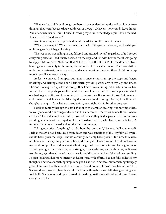What was I to do? I could not go on there--it was evidently stupid, and I could not leave things as they were, because that would seem as though ... Heavens, how could I leave things! And after such insults! "No!" I cried, throwing myself into the sledge again. "It is ordained! It is fate! Drive on, drive on!"

And in my impatience I punched the sledge-driver on the back of the neck.

"What are you up to? What are you hitting me for?" the peasant shouted, but he whipped up his nag so that it began kicking.

The wet snow was falling in big flakes; I unbuttoned myself, regardless of it. I forgot everything else, for I had finally decided on the slap, and felt with horror that it was going to happen NOW, AT ONCE, and that NO FORCE COULD STOP IT. The deserted street lamps gleamed sullenly in the snowy darkness like torches at a funeral. The snow drifted under my great-coat, under my coat, under my cravat, and melted there. I did not wrap myself up--all was lost, anyway.

At last we arrived. I jumped out, almost unconscious, ran up the steps and began knocking and kicking at the door. I felt fearfully weak, particularly in my legs and knees. The door was opened quickly as though they knew I was coming. As a fact, Simonov had warned them that perhaps another gentleman would arrive, and this was a place in which one had to give notice and to observe certain precautions. It was one of those "millinery establishments" which were abolished by the police a good time ago. By day it really was a shop; but at night, if one had an introduction, one might visit it for other purposes.

I walked rapidly through the dark shop into the familiar drawing- room, where there was only one candle burning, and stood still in amazement: there was no one there. "Where are they?" I asked somebody. But by now, of course, they had separated. Before me was standing a person with a stupid smile, the "madam" herself, who had seen me before. A minute later a door opened and another person came in.

Taking no notice of anything I strode about the room, and, I believe, I talked to myself. I felt as though I had been saved from death and was conscious of this, joyfully, all over: I should have given that slap, I should certainly, certainly have given it! But now they were not here and ... everything had vanished and changed! I looked round. I could not realise my condition yet. I looked mechanically at the girl who had come in: and had a glimpse of a fresh, young, rather pale face, with straight, dark eyebrows, and with grave, as it were wondering, eyes that attracted me at once; I should have hated her if she had been smiling. I began looking at her more intently and, as it were, with effort. I had not fully collected my thoughts. There was something simple and good-natured in her face, but something strangely grave. I am sure that this stood in her way here, and no one of those fools had noticed her. She could not, however, have been called a beauty, though she was tall, strong-looking, and well built. She was very simply dressed. Something loathsome stirred within me. I went straight up to her.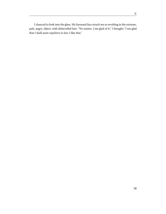I chanced to look into the glass. My harassed face struck me as revolting in the extreme, pale, angry, abject, with dishevelled hair. "No matter, I am glad of it," I thought; "I am glad that I shall seem repulsive to her; I like that."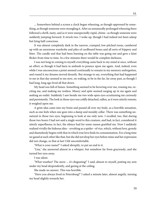... Somewhere behind a screen a clock began wheezing, as though oppressed by something, as though someone were strangling it. After an unnaturally prolonged wheezing there followed a shrill, nasty, and as it were unexpectedly rapid, chime--as though someone were suddenly jumping forward. It struck two. I woke up, though I had indeed not been asleep but lying half-conscious.

It was almost completely dark in the narrow, cramped, low-pitched room, cumbered up with an enormous wardrobe and piles of cardboard boxes and all sorts of frippery and litter. The candle end that had been burning on the table was going out and gave a faint flicker from time to time. In a few minutes there would be complete darkness.

I was not long in coming to myself; everything came back to my mind at once, without an effort, as though it had been in ambush to pounce upon me again. And, indeed, even while I was unconscious a point seemed continually to remain in my memory unforgotten, and round it my dreams moved drearily. But strange to say, everything that had happened to me in that day seemed to me now, on waking, to be in the far, far away past, as though I had long, long ago lived all that down.

My head was full of fumes. Something seemed to be hovering over me, rousing me, exciting me, and making me restless. Misery and spite seemed surging up in me again and seeking an outlet. Suddenly I saw beside me two wide open eyes scrutinising me curiously and persistently. The look in those eyes was coldly detached, sullen, as it were utterly remote; it weighed upon me.

A grim idea came into my brain and passed all over my body, as a horrible sensation, such as one feels when one goes into a damp and mouldy cellar. There was something unnatural in those two eyes, beginning to look at me only now. I recalled, too, that during those two hours I had not said a single word to this creature, and had, in fact, considered it utterly superfluous; in fact, the silence had for some reason gratified me. Now I suddenly realised vividly the hideous idea-- revolting as a spider--of vice, which, without love, grossly and shamelessly begins with that in which true love finds its consummation. For a long time we gazed at each other like that, but she did not drop her eyes before mine and her expression did not change, so that at last I felt uncomfortable.

"What is your name?" I asked abruptly, to put an end to it.

"Liza," she answered almost in a whisper, but somehow far from graciously, and she turned her eyes away.

I was silent.

"What weather! The snow ... it's disgusting!" I said, almost to myself, putting my arm under my head despondently, and gazing at the ceiling.

She made no answer. This was horrible.

"Have you always lived in Petersburg?" I asked a minute later, almost angrily, turning my head slightly towards her.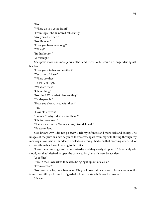"No."

"Where do you come from?"

"From Riga," she answered reluctantly.

"Are you a German?"

"No, Russian."

"Have you been here long?"

"Where?"

"In this house?"

"A fortnight."

She spoke more and more jerkily. The candle went out; I could no longer distinguish her face.

"Have you a father and mother?"

"Yes ... no ... I have."

"Where are they?"

"There ... in Riga."

"What are they?"

"Oh, nothing."

"Nothing? Why, what class are they?"

"Tradespeople."

"Have you always lived with them?"

"Yes."

"How old are you?"

"Twenty." "Why did you leave them?"

"Oh, for no reason."

That answer meant "Let me alone; I feel sick, sad."

We were silent.

God knows why I did not go away. I felt myself more and more sick and dreary. The images of the previous day began of themselves, apart from my will, flitting through my memory in confusion. I suddenly recalled something I had seen that morning when, full of anxious thoughts, I was hurrying to the office.

"I saw them carrying a coffin out yesterday and they nearly dropped it," I suddenly said aloud, not that I desired to open the conversation, but as it were by accident.

"A coffin?"

"Yes, in the Haymarket; they were bringing it up out of a cellar."

"From a cellar?"

"Not from a cellar, but a basement. Oh, you know ... down below ... from a house of illfame. It was filthy all round ... Egg-shells, litter ... a stench. It was loathsome."

Silence.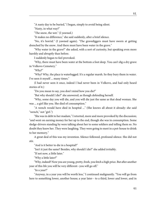"A nasty day to be buried," I began, simply to avoid being silent.

"Nasty, in what way?"

"The snow, the wet." (I yawned.)

"It makes no difference," she said suddenly, after a brief silence.

"No, it's horrid." (I yawned again). "The gravediggers must have sworn at getting drenched by the snow. And there must have been water in the grave."

"Why water in the grave?" she asked, with a sort of curiosity, but speaking even more harshly and abruptly than before.

I suddenly began to feel provoked.

"Why, there must have been water at the bottom a foot deep. You can't dig a dry grave in Volkovo Cemetery."

"Why?"

"Why? Why, the place is waterlogged. It's a regular marsh. So they bury them in water. I've seen it myself ... many times."

(I had never seen it once, indeed I had never been in Volkovo, and had only heard stories of it.)

"Do you mean to say, you don't mind how you die?"

"But why should I die?" she answered, as though defending herself.

"Why, some day you will die, and you will die just the same as that dead woman. She was ... a girl like you. She died of consumption."

"A wench would have died in hospital ..." (She knows all about it already: she said "wench," not "girl.")

"She was in debt to her madam," I retorted, more and more provoked by the discussion; "and went on earning money for her up to the end, though she was in consumption. Some sledge-drivers standing by were talking about her to some soldiers and telling them so. No doubt they knew her. They were laughing. They were going to meet in a pot-house to drink to her memory."

A great deal of this was my invention. Silence followed, profound silence. She did not stir.

"And is it better to die in a hospital?"

"Isn't it just the same? Besides, why should I die?" she added irritably.

"If not now, a little later."

"Why a little later?"

"Why, indeed? Now you are young, pretty, fresh, you fetch a high price. But after another year of this life you will be very different--you will go off."

"In a year?"

"Anyway, in a year you will be worth less," I continued malignantly. "You will go from here to something lower, another house; a year later-- to a third, lower and lower, and in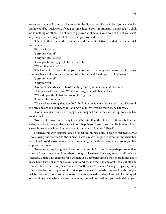seven years you will come to a basement in the Haymarket. That will be if you were lucky. But it would be much worse if you got some disease, consumption, say ... and caught a chill, or something or other. It's not easy to get over an illness in your way of life. If you catch anything you may not get rid of it. And so you would die."

"Oh, well, then I shall die," she answered, quite vindictively, and she made a quick movement.

"But one is sorry."

"Sorry for whom?"

"Sorry for life." Silence.

"Have you been engaged to be married? Eh?"

"What's that to you?"

"Oh, I am not cross-examining you. It's nothing to me. Why are you so cross? Of course you may have had your own troubles. What is it to me? It's simply that I felt sorry."

"Sorry for whom?"

"Sorry for you."

"No need," she whispered hardly audibly, and again made a faint movement.

That incensed me at once. What! I was so gentle with her, and she ....

"Why, do you think that you are on the right path?"

"I don't think anything."

"That's what's wrong, that you don't think. Realise it while there is still time. There still is time. You are still young, good-looking; you might love, be married, be happy ...."

"Not all married women are happy," she snapped out in the rude abrupt tone she had used at first.

"Not all, of course, but anyway it is much better than the life here. Infinitely better. Besides, with love one can live even without happiness. Even in sorrow life is sweet; life is sweet, however one lives. But here what is there but ... foulness? Phew!"

I turned away with disgust; I was no longer reasoning coldly. I began to feel myself what I was saying and warmed to the subject. I was already longing to expound the cherished ideas I had brooded over in my corner. Something suddenly flared up in me. An object had appeared before me.

"Never mind my being here, I am not an example for you. I am, perhaps, worse than you are. I was drunk when I came here, though," I hastened, however, to say in self-defence. "Besides, a man is no example for a woman. It's a different thing. I may degrade and defile myself, but I am not anyone's slave. I come and go, and that's an end of it. I shake it off, and I am a different man. But you are a slave from the start. Yes, a slave! You give up everything, your whole freedom. If you want to break your chains afterwards, you won't be able to; you will be more and more fast in the snares. It is an accursed bondage. I know it. I won't speak of anything else, maybe you won't understand, but tell me: no doubt you are in debt to your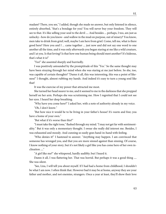madam? There, you see," I added, though she made no answer, but only listened in silence, entirely absorbed, "that's a bondage for you! You will never buy your freedom. They will see to that. It's like selling your soul to the devil .... And besides ... perhaps, I too, am just as unlucky--how do you know--and wallow in the mud on purpose, out of misery? You know, men take to drink from grief; well, maybe I am here from grief. Come, tell me, what is there good here? Here you and I ... came together ... just now and did not say one word to one another all the time, and it was only afterwards you began staring at me like a wild creature, and I at you. Is that loving? Is that how one human being should meet another? It's hideous, that's what it is!"

"Yes!" she assented sharply and hurriedly.

I was positively astounded by the promptitude of this "Yes." So the same thought may have been straying through her mind when she was staring at me just before. So she, too, was capable of certain thoughts? "Damn it all, this was interesting, this was a point of likeness!" I thought, almost rubbing my hands. And indeed it's easy to turn a young soul like that!

It was the exercise of my power that attracted me most.

She turned her head nearer to me, and it seemed to me in the darkness that she propped herself on her arm. Perhaps she was scrutinising me. How I regretted that I could not see her eyes. I heard her deep breathing.

"Why have you come here?" I asked her, with a note of authority already in my voice. "Oh, I don't know."

"But how nice it would be to be living in your father's house! It's warm and free; you have a home of your own."

"But what if it's worse than this?"

"I must take the right tone," flashed through my mind. "I may not get far with sentimentality." But it was only a momentary thought. I swear she really did interest me. Besides, I was exhausted and moody. And cunning so easily goes hand-in-hand with feeling.

"Who denies it!" I hastened to answer. "Anything may happen. I am convinced that someone has wronged you, and that you are more sinned against than sinning. Of course, I know nothing of your story, but it's not likely a girl like you has come here of her own inclination ...."

"A girl like me?" she whispered, hardly audibly; but I heard it.

Damn it all, I was flattering her. That was horrid. But perhaps it was a good thing .... She was silent.

"See, Liza, I will tell you about myself. If I had had a home from childhood, I shouldn't be what I am now. I often think that. However bad it may be at home, anyway they are your father and mother, and not enemies, strangers. Once a year at least, they'll show their love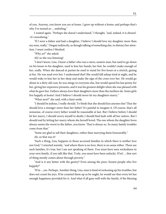of you. Anyway, you know you are at home. I grew up without a home; and perhaps that's why I've turned so ... unfeeling."

I waited again. "Perhaps she doesn't understand," I thought, "and, indeed, it is absurd- -it's moralising."

"If I were a father and had a daughter, I believe I should love my daughter more than my sons, really," I began indirectly, as though talking of something else, to distract her attention. I must confess I blushed.

"Why so?" she asked.

Ah! so she was listening!

"I don't know, Liza. I knew a father who was a stern, austere man, but used to go down on his knees to his daughter, used to kiss her hands, her feet, he couldn't make enough of her, really. When she danced at parties he used to stand for five hours at a stretch, gazing at her. He was mad over her: I understand that! She would fall asleep tired at night, and he would wake to kiss her in her sleep and make the sign of the cross over her. He would go about in a dirty old coat, he was stingy to everyone else, but would spend his last penny for her, giving her expensive presents, and it was his greatest delight when she was pleased with what he gave her. Fathers always love their daughters more than the mothers do. Some girls live happily at home! And I believe I should never let my daughters marry."

"What next?" she said, with a faint smile.

"I should be jealous, I really should. To think that she should kiss anyone else! That she should love a stranger more than her father! It's painful to imagine it. Of course, that's all nonsense, of course every father would be reasonable at last. But I believe before I should let her marry, I should worry myself to death; I should find fault with all her suitors. But I should end by letting her marry whom she herself loved. The one whom the daughter loves always seems the worst to the father, you know. That is always so. So many family troubles come from that."

"Some are glad to sell their daughters, rather than marrying them honourably."

Ah, so that was it!

"Such a thing, Liza, happens in those accursed families in which there is neither love nor God," I retorted warmly, "and where there is no love, there is no sense either. There are such families, it's true, but I am not speaking of them. You must have seen wickedness in your own family, if you talk like that. Truly, you must have been unlucky. H'm! ... that sort of thing mostly comes about through poverty."

"And is it any better with the gentry? Even among the poor, honest people who live happily?"

"H'm ... yes. Perhaps. Another thing, Liza, man is fond of reckoning up his troubles, but does not count his joys. If he counted them up as he ought, he would see that every lot has enough happiness provided for it. And what if all goes well with the family, if the blessing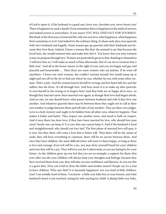of God is upon it, if the husband is a good one, loves you, cherishes you, never leaves you! There is happiness in such a family! Even sometimes there is happiness in the midst of sorrow; and indeed sorrow is everywhere. If you marry YOU WILL FIND OUT FOR YOURSELF. But think of the first years of married life with one you love: what happiness, what happiness there sometimes is in it! And indeed it's the ordinary thing. In those early days even quarrels with one's husband end happily. Some women get up quarrels with their husbands just because they love them. Indeed, I knew a woman like that: she seemed to say that because she loved him, she would torment him and make him feel it. You know that you may torment a man on purpose through love. Women are particularly given to that, thinking to themselves 'I will love him so, I will make so much of him afterwards, that it's no sin to torment him a little now.' And all in the house rejoice in the sight of you, and you are happy and gay and peaceful and honourable .... Then there are some women who are jealous. If he went off anywhere--I knew one such woman, she couldn't restrain herself, but would jump up at night and run off on the sly to find out where he was, whether he was with some other woman. That's a pity. And the woman knows herself it's wrong, and her heart fails her and she suffers, but she loves--it's all through love. And how sweet it is to make up after quarrels, to own herself in the wrong or to forgive him! And they both are so happy all at once--as though they had met anew, been married over again; as though their love had begun afresh. And no one, no one should know what passes between husband and wife if they love one another. And whatever quarrels there may be between them they ought not to call in their own mother to judge between them and tell tales of one another. They are their own judges. Love is a holy mystery and ought to be hidden from all other eyes, whatever happens. That makes it holier and better. They respect one another more, and much is built on respect. And if once there has been love, if they have been married for love, why should love pass away? Surely one can keep it! It is rare that one cannot keep it. And if the husband is kind and straightforward, why should not love last? The first phase of married love will pass, it is true, but then there will come a love that is better still. Then there will be the union of souls, they will have everything in common, there will be no secrets between them. And once they have children, the most difficult times will seem to them happy, so long as there is love and courage. Even toil will be a joy, you may deny yourself bread for your children and even that will be a joy, They will love you for it afterwards; so you are laying by for your future. As the children grow up you feel that you are an example, a support for them; that even after you die your children will always keep your thoughts and feelings, because they have received them from you, they will take on your semblance and likeness. So you see this is a great duty. How can it fail to draw the father and mother nearer? People say it's a trial to have children. Who says that? It is heavenly happiness! Are you fond of little children, Liza? I am awfully fond of them. You know--a little rosy baby boy at your bosom, and what husband's heart is not touched, seeing his wife nursing his child! A plump little rosy baby,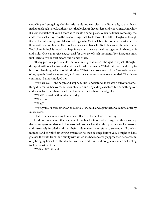sprawling and snuggling, chubby little hands and feet, clean tiny little nails, so tiny that it makes one laugh to look at them; eyes that look as if they understand everything. And while it sucks it clutches at your bosom with its little hand, plays. When its father comes up, the child tears itself away from the bosom, flings itself back, looks at its father, laughs, as though it were fearfully funny, and falls to sucking again. Or it will bite its mother's breast when its little teeth are coming, while it looks sideways at her with its little eyes as though to say, 'Look, I am biting!' Is not all that happiness when they are the three together, husband, wife and child? One can forgive a great deal for the sake of such moments. Yes, Liza, one must first learn to live oneself before one blames others!"

"It's by pictures, pictures like that one must get at you," I thought to myself, though I did speak with real feeling, and all at once I flushed crimson. "What if she were suddenly to burst out laughing, what should I do then?" That idea drove me to fury. Towards the end of my speech I really was excited, and now my vanity was somehow wounded. The silence continued. I almost nudged her.

"Why are you--" she began and stopped. But I understood: there was a quiver of something different in her voice, not abrupt, harsh and unyielding as before, but something soft and shamefaced, so shamefaced that I suddenly felt ashamed and guilty.

"What?" I asked, with tender curiosity.

"Why, you ..."

"What?"

"Why, you ... speak somehow like a book," she said, and again there was a note of irony in her voice.

That remark sent a pang to my heart. It was not what I was expecting.

I did not understand that she was hiding her feelings under irony, that this is usually the last refuge of modest and chaste-souled people when the privacy of their soul is coarsely and intrusively invaded, and that their pride makes them refuse to surrender till the last moment and shrink from giving expression to their feelings before you. I ought to have guessed the truth from the timidity with which she had repeatedly approached her sarcasm, only bringing herself to utter it at last with an effort. But I did not guess, and an evil feeling took possession of me.

"Wait a bit!" I thought.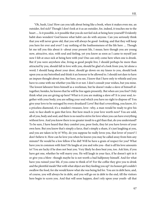"Oh, hush, Liza! How can you talk about being like a book, when it makes even me, an outsider, feel sick? Though I don't look at it as an outsider, for, indeed, it touches me to the heart .... Is it possible, is it possible that you do not feel sick at being here yourself? Evidently habit does wonders! God knows what habit can do with anyone. Can you seriously think that you will never grow old, that you will always be good- looking, and that they will keep you here for ever and ever? I say nothing of the loathsomeness of the life here .... Though let me tell you this about it--about your present life, I mean; here though you are young now, attractive, nice, with soul and feeling, yet you know as soon as I came to myself just now I felt at once sick at being here with you! One can only come here when one is drunk. But if you were anywhere else, living as good people live, I should perhaps be more than attracted by you, should fall in love with you, should be glad of a look from you, let alone a word; I should hang about your door, should go down on my knees to you, should look upon you as my betrothed and think it an honour to be allowed to. I should not dare to have an impure thought about you. But here, you see, I know that I have only to whistle and you have to come with me whether you like it or not. I don't consult your wishes, but you mine. The lowest labourer hires himself as a workman, but he doesn't make a slave of himself altogether; besides, he knows that he will be free again presently. But when are you free? Only think what you are giving up here? What is it you are making a slave of? It is your soul, together with your body; you are selling your soul which you have no right to dispose of! You give your love to be outraged by every drunkard! Love! But that's everything, you know, it's a priceless diamond, it's a maiden's treasure, love--why, a man would be ready to give his soul, to face death to gain that love. But how much is your love worth now? You are sold, all of you, body and soul, and there is no need to strive for love when you can have everything without love. And you know there is no greater insult to a girl than that, do you understand? To be sure, I have heard that they comfort you, poor fools, they let you have lovers of your own here. But you know that's simply a farce, that's simply a sham, it's just laughing at you, and you are taken in by it! Why, do you suppose he really loves you, that lover of yours? I don't believe it. How can he love you when he knows you may be called away from him any minute? He would be a low fellow if he did! Will he have a grain of respect for you? What have you in common with him? He laughs at you and robs you--that is all his love amounts to! You are lucky if he does not beat you. Very likely he does beat you, too. Ask him, if you have got one, whether he will marry you. He will laugh in your face, if he doesn't spit in it or give you a blow--though maybe he is not worth a bad halfpenny himself. And for what have you ruined your life, if you come to think of it? For the coffee they give you to drink and the plentiful meals? But with what object are they feeding you up? An honest girl couldn't swallow the food, for she would know what she was being fed for. You are in debt here, and, of course, you will always be in debt, and you will go on in debt to the end, till the visitors here begin to scorn you. And that will soon happen, don't rely upon your youth--all that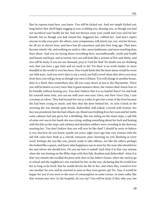flies by express train here, you know. You will be kicked out. And not simply kicked out; long before that she'll begin nagging at you, scolding you, abusing you, as though you had not sacrificed your health for her, had not thrown away your youth and your soul for her benefit, but as though you had ruined her, beggared her, robbed her. And don't expect anyone to take your part: the others, your companions, will attack you, too, win her favour, for all are in slavery here, and have lost all conscience and pity here long ago. They have become utterly vile, and nothing on earth is viler, more loathsome, and more insulting than their abuse. And you are laying down everything here, unconditionally, youth and health and beauty and hope, and at twenty-two you will look like a woman of five-and-thirty, and you will be lucky if you are not diseased, pray to God for that! No doubt you are thinking now that you have a gay time and no work to do! Yet there is no work harder or more dreadful in the world or ever has been. One would think that the heart alone would be worn out with tears. And you won't dare to say a word, not half a word when they drive you away from here; you will go away as though you were to blame. You will change to another house, then to a third, then somewhere else, till you come down at last to the Haymarket. There you will be beaten at every turn; that is good manners there, the visitors don't know how to be friendly without beating you. You don't believe that it is so hateful there? Go and look for yourself some time, you can see with your own eyes. Once, one New Year's Day, I saw a woman at a door. They had turned her out as a joke, to give her a taste of the frost because she had been crying so much, and they shut the door behind her. At nine o'clock in the morning she was already quite drunk, dishevelled, half-naked, covered with bruises, her face was powdered, but she had a black-eye, blood was trickling from her nose and her teeth; some cabman had just given her a drubbing. She was sitting on the stone steps, a salt fish of some sort was in her hand; she was crying, wailing something about her luck and beating with the fish on the steps, and cabmen and drunken soldiers were crowding in the doorway taunting her. You don't believe that you will ever be like that? I should be sorry to believe it, too, but how do you know; maybe ten years, eight years ago that very woman with the salt fish came here fresh as a cherub, innocent, pure, knowing no evil, blushing at every word. Perhaps she was like you, proud, ready to take offence, not like the others; perhaps she looked like a queen, and knew what happiness was in store for the man who should love her and whom she should love. Do you see how it ended? And what if at that very minute when she was beating on the filthy steps with that fish, drunken and dishevelled--what if at that very minute she recalled the pure early days in her father's house, when she used to go to school and the neighbour's son watched for her on the way, declaring that he would love her as long as he lived, that he would devote his life to her, and when they vowed to love one another for ever and be married as soon as they were grown up! No, Liza, it would be happy for you if you were to die soon of consumption in some corner, in some cellar like that woman just now. In the hospital, do you say? You will be lucky if they take you, but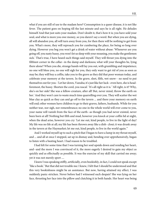what if you are still of use to the madam here? Consumption is a queer disease, it is not like fever. The patient goes on hoping till the last minute and says he is all right. He deludes himself And that just suits your madam. Don't doubt it, that's how it is; you have sold your soul, and what is more you owe money, so you daren't say a word. But when you are dying, all will abandon you, all will turn away from you, for then there will be nothing to get from you. What's more, they will reproach you for cumbering the place, for being so long over dying. However you beg you won't get a drink of water without abuse: 'Whenever are you going off, you nasty hussy, you won't let us sleep with your moaning, you make the gentlemen sick.' That's true, I have heard such things said myself. They will thrust you dying into the filthiest corner in the cellar--in the damp and darkness; what will your thoughts be, lying there alone? When you die, strange hands will lay you out, with grumbling and impatience; no one will bless you, no one will sigh for you, they only want to get rid of you as soon as may be; they will buy a coffin, take you to the grave as they did that poor woman today, and celebrate your memory at the tavern. In the grave, sleet, filth, wet snow-- no need to put themselves out for you--'Let her down, Vanuha; it's just like her luck--even here, she is headforemost, the hussy. Shorten the cord, you rascal.' 'It's all right as it is.' 'All right, is it? Why, she's on her side! She was a fellow-creature, after all! But, never mind, throw the earth on her.' And they won't care to waste much time quarrelling over you. They will scatter the wet blue clay as quick as they can and go off to the tavern ... and there your memory on earth will end; other women have children to go to their graves, fathers, husbands. While for you neither tear, nor sigh, nor remembrance; no one in the whole world will ever come to you, your name will vanish from the face of the earth--as though you had never existed, never been born at all! Nothing but filth and mud, however you knock at your coffin lid at night, when the dead arise, however you cry: 'Let me out, kind people, to live in the light of day! My life was no life at all; my life has been thrown away like a dish- clout; it was drunk away in the tavern at the Haymarket; let me out, kind people, to live in the world again.'"

And I worked myself up to such a pitch that I began to have a lump in my throat myself, and ... and all at once I stopped, sat up in dismay and, bending over apprehensively, began to listen with a beating heart. I had reason to be troubled.

I had felt for some time that I was turning her soul upside down and rending her heart, and--and the more I was convinced of it, the more eagerly I desired to gain my object as quickly and as effectually as possible. It was the exercise of my skill that carried me away; yet it was not merely sport ....

I knew I was speaking stiffly, artificially, even bookishly, in fact, I could not speak except "like a book." But that did not trouble me: I knew, I felt that I should be understood and that this very bookishness might be an assistance. But now, having attained my effect, I was suddenly panic-stricken. Never before had I witnessed such despair! She was lying on her face, thrusting her face into the pillow and clutching it in both hands. Her heart was being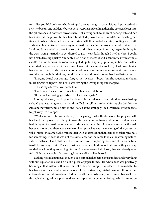torn. Her youthful body was shuddering all over as though in convulsions. Suppressed sobs rent her bosom and suddenly burst out in weeping and wailing, then she pressed closer into the pillow: she did not want anyone here, not a living soul, to know of her anguish and her tears. She bit the pillow, bit her hand till it bled (I saw that afterwards), or, thrusting her fingers into her dishevelled hair, seemed rigid with the effort of restraint, holding her breath and clenching her teeth. I began saying something, begging her to calm herself, but felt that I did not dare; and all at once, in a sort of cold shiver, almost in terror, began fumbling in the dark, trying hurriedly to get dressed to go. It was dark; though I tried my best I could not finish dressing quickly. Suddenly I felt a box of matches and a candlestick with a whole candle in it. As soon as the room was lighted up, Liza sprang up, sat up in bed, and with a contorted face, with a half insane smile, looked at me almost senselessly. I sat down beside her and took her hands; she came to herself, made an impulsive movement towards me, would have caught hold of me, but did not dare, and slowly bowed her head before me.

"Liza, my dear, I was wrong ... forgive me, my dear," I began, but she squeezed my hand in her fingers so tightly that I felt I was saying the wrong thing and stopped.

"This is my address, Liza, come to me."

"I will come," she answered resolutely, her head still bowed.

"But now I am going, good-bye ... till we meet again."

I got up; she, too, stood up and suddenly flushed all over, gave a shudder, snatched up a shawl that was lying on a chair and muffled herself in it to her chin. As she did this she gave another sickly smile, blushed and looked at me strangely. I felt wretched; I was in haste to get away--to disappear.

"Wait a minute," she said suddenly, in the passage just at the doorway, stopping me with her hand on my overcoat. She put down the candle in hot haste and ran off; evidently she had thought of something or wanted to show me something. As she ran away she flushed, her eyes shone, and there was a smile on her lips--what was the meaning of it? Against my will I waited: she came back a minute later with an expression that seemed to ask forgiveness for something. In fact, it was not the same face, not the same look as the evening before: sullen, mistrustful and obstinate. Her eyes now were imploring, soft, and at the same time trustful, caressing, timid. The expression with which children look at people they are very fond of, of whom they are asking a favour. Her eyes were a light hazel, they were lovely eyes, full of life, and capable of expressing love as well as sullen hatred.

Making no explanation, as though I, as a sort of higher being, must understand everything without explanations, she held out a piece of paper to me. Her whole face was positively beaming at that instant with naive, almost childish, triumph. I unfolded it. It was a letter to her from a medical student or someone of that sort--a very high-flown and flowery, but extremely respectful, love-letter. I don't recall the words now, but I remember well that through the high-flown phrases there was apparent a genuine feeling, which cannot be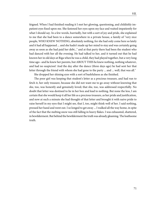feigned. When I had finished reading it I met her glowing, questioning, and childishly impatient eyes fixed upon me. She fastened her eyes upon my face and waited impatiently for what I should say. In a few words, hurriedly, but with a sort of joy and pride, she explained to me that she had been to a dance somewhere in a private house, a family of "very nice people, WHO KNEW NOTHING, absolutely nothing, for she had only come here so lately and it had all happened ... and she hadn't made up her mind to stay and was certainly going away as soon as she had paid her debt..." and at that party there had been the student who had danced with her all the evening. He had talked to her, and it turned out that he had known her in old days at Riga when he was a child, they had played together, but a very long time ago--and he knew her parents, but ABOUT THIS he knew nothing, nothing whatever, and had no suspicion! And the day after the dance (three days ago) he had sent her that letter through the friend with whom she had gone to the party ... and ... well, that was all." She dropped her shining eyes with a sort of bashfulness as she finished.

The poor girl was keeping that student's letter as a precious treasure, and had run to fetch it, her only treasure, because she did not want me to go away without knowing that she, too, was honestly and genuinely loved; that she, too, was addressed respectfully. No doubt that letter was destined to lie in her box and lead to nothing. But none the less, I am certain that she would keep it all her life as a precious treasure, as her pride and justification, and now at such a minute she had thought of that letter and brought it with naive pride to raise herself in my eyes that I might see, that I, too, might think well of her. I said nothing, pressed her hand and went out. I so longed to get away ... I walked all the way home, in spite of the fact that the melting snow was still falling in heavy flakes. I was exhausted, shattered, in bewilderment. But behind the bewilderment the truth was already gleaming. The loathsome truth.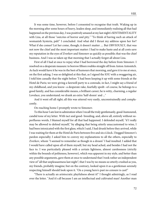It was some time, however, before I consented to recognise that truth. Waking up in the morning after some hours of heavy, leaden sleep, and immediately realising all that had happened on the previous day, I was positively amazed at my last night's SENTIMENTALITY with Liza, at all those "outcries of horror and pity." "To think of having such an attack of womanish hysteria, pah!" I concluded. And what did I thrust my address upon her for? What if she comes? Let her come, though; it doesn't matter .... But OBVIOUSLY, that was not now the chief and the most important matter: I had to make haste and at all costs save my reputation in the eyes of Zverkov and Simonov as quickly as possible; that was the chief business. And I was so taken up that morning that I actually forgot all about Liza.

First of all I had at once to repay what I had borrowed the day before from Simonov. I resolved on a desperate measure: to borrow fifteen roubles straight off from Anton Antonitch. As luck would have it he was in the best of humours that morning, and gave it to me at once, on the first asking. I was so delighted at this that, as I signed the IOU with a swaggering air, I told him casually that the night before "I had been keeping it up with some friends at the Hotel de Paris; we were giving a farewell party to a comrade, in fact, I might say a friend of my childhood, and you know--a desperate rake, fearfully spoilt--of course, he belongs to a good family, and has considerable means, a brilliant career; he is witty, charming, a regular Lovelace, you understand; we drank an extra 'half-dozen' and ..."

And it went off all right; all this was uttered very easily, unconstrainedly and complacently.

On reaching home I promptly wrote to Simonov.

To this hour I am lost in admiration when I recall the truly gentlemanly, good-humoured, candid tone of my letter. With tact and good- breeding, and, above all, entirely without superfluous words, I blamed myself for all that had happened. I defended myself, "if I really may be allowed to defend myself," by alleging that being utterly unaccustomed to wine, I had been intoxicated with the first glass, which I said, I had drunk before they arrived, while I was waiting for them at the Hotel de Paris between five and six o'clock. I begged Simonov's pardon especially; I asked him to convey my explanations to all the others, especially to Zverkov, whom "I seemed to remember as though in a dream" I had insulted. I added that I would have called upon all of them myself, but my head ached, and besides I had not the face to. I was particularly pleased with a certain lightness, almost carelessness (strictly within the bounds of politeness, however), which was apparent in my style, and better than any possible arguments, gave them at once to understand that I took rather an independent view of "all that unpleasantness last night"; that I was by no means so utterly crushed as you, my friends, probably imagine; but on the contrary, looked upon it as a gentleman serenely respecting himself should look upon it. "On a young hero's past no censure is cast!"

"There is actually an aristocratic playfulness about it!" I thought admiringly, as I read over the letter. "And it's all because I am an intellectual and cultivated man! Another man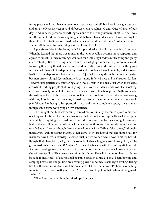in my place would not have known how to extricate himself, but here I have got out of it and am as jolly as ever again, and all because I am 'a cultivated and educated man of our day.' And, indeed, perhaps, everything was due to the wine yesterday. H'm!" ... No, it was not the wine. I did not drink anything at all between five and six when I was waiting for them. I had lied to Simonov; I had lied shamelessly; and indeed I wasn't ashamed now .... Hang it all though, the great thing was that I was rid of it.

I put six roubles in the letter, sealed it up, and asked Apollon to take it to Simonov. When he learned that there was money in the letter, Apollon became more respectful and agreed to take it. Towards evening I went out for a walk. My head was still aching and giddy after yesterday. But as evening came on and the twilight grew denser, my impressions and, following them, my thoughts, grew more and more different and confused. Something was not dead within me, in the depths of my heart and conscience it would not die, and it showed itself in acute depression. For the most part I jostled my way through the most crowded business streets, along Myeshtchansky Street, along Sadovy Street and in Yusupov Garden. I always liked particularly sauntering along these streets in the dusk, just when there were crowds of working people of all sorts going home from their daily work, with faces looking cross with anxiety. What I liked was just that cheap bustle, that bare prose. On this occasion the jostling of the streets irritated me more than ever, I could not make out what was wrong with me, I could not find the clue, something seemed rising up continually in my soul, painfully, and refusing to be appeased. I returned home completely upset, it was just as though some crime were lying on my conscience.

The thought that Liza was coming worried me continually. It seemed queer to me that of all my recollections of yesterday this tormented me, as it were, especially, as it were, quite separately. Everything else I had quite succeeded in forgetting by the evening; I dismissed it all and was still perfectly satisfied with my letter to Simonov. But on this point I was not satisfied at all. It was as though I were worried only by Liza. "What if she comes," I thought incessantly, "well, it doesn't matter, let her come! H'm! it's horrid that she should see, for instance, how I live. Yesterday I seemed such a hero to her, while now, h'm! It's horrid, though, that I have let myself go so, the room looks like a beggar's. And I brought myself to go out to dinner in such a suit! And my American leather sofa with the stuffing sticking out. And my dressing-gown, which will not cover me, such tatters, and she will see all this and she will see Apollon. That beast is certain to insult her. He will fasten upon her in order to be rude to me. And I, of course, shall be panic-stricken as usual, I shall begin bowing and scraping before her and pulling my dressing-gown round me, I shall begin smiling, telling lies. Oh, the beastliness! And it isn't the beastliness of it that matters most! There is something more important, more loathsome, viler! Yes, viler! And to put on that dishonest lying mask again! ..."

When I reached that thought I fired up all at once.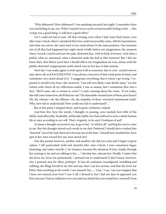"Why dishonest? How dishonest? I was speaking sincerely last night. I remember there was real feeling in me, too. What I wanted was to excite an honourable feeling in her .... Her crying was a good thing, it will have a good effect."

Yet I could not feel at ease. All that evening, even when I had come back home, even after nine o'clock, when I calculated that Liza could not possibly come, still she haunted me, and what was worse, she came back to my mind always in the same position. One moment out of all that had happened last night stood vividly before my imagination; the moment when I struck a match and saw her pale, distorted face, with its look of torture. And what a pitiful, what an unnatural, what a distorted smile she had at that moment! But I did not know then, that fifteen years later I should still in my imagination see Liza, always with the pitiful, distorted, inappropriate smile which was on her face at that minute.

Next day I was ready again to look upon it all as nonsense, due to over- excited nerves, and, above all, as EXAGGERATED. I was always conscious of that weak point of mine, and sometimes very much afraid of it. "I exaggerate everything, that is where I go wrong," I repeated to myself every hour. But, however, "Liza will very likely come all the same," was the refrain with which all my reflections ended. I was so uneasy that I sometimes flew into a fury: "She'll come, she is certain to come!" I cried, running about the room, "if not today, she will come tomorrow; she'll find me out! The damnable romanticism of these pure hearts! Oh, the vileness--oh, the silliness--oh, the stupidity of these 'wretched sentimental souls!' Why, how fail to understand? How could one fail to understand? ..."

But at this point I stopped short, and in great confusion, indeed.

And how few, how few words, I thought, in passing, were needed; how little of the idyllic (and affectedly, bookishly, artificially idyllic too) had sufficed to turn a whole human life at once according to my will. That's virginity, to be sure! Freshness of soil!

At times a thought occurred to me, to go to her, "to tell her all," and beg her not to come to me. But this thought stirred such wrath in me that I believed I should have crushed that "damned" Liza if she had chanced to be near me at the time. I should have insulted her, have spat at her, have turned her out, have struck her!

One day passed, however, another and another; she did not come and I began to grow calmer. I felt particularly bold and cheerful after nine o'clock, I even sometimes began dreaming, and rather sweetly: I, for instance, became the salvation of Liza, simply through her coming to me and my talking to her .... I develop her, educate her. Finally, I notice that she loves me, loves me passionately. I pretend not to understand (I don't know, however, why I pretend, just for effect, perhaps). At last all confusion, transfigured, trembling and sobbing, she flings herself at my feet and says that I am her saviour, and that she loves me better than anything in the world. I am amazed, but .... "Liza," I say, "can you imagine that I have not noticed your love? I saw it all, I divined it, but I did not dare to approach you first, because I had an influence over you and was afraid that you would force yourself, from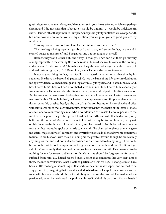gratitude, to respond to my love, would try to rouse in your heart a feeling which was perhaps absent, and I did not wish that ... because it would be tyranny ... it would be indelicate (in short, I launch off at that point into European, inexplicably lofty subtleties a la George Sand), but now, now you are mine, you are my creation, you are pure, you are good, you are my noble wife.

'Into my house come bold and free, Its rightful mistress there to be'."

Then we begin living together, go abroad and so on, and so on. In fact, in the end it seemed vulgar to me myself, and I began putting out my tongue at myself.

Besides, they won't let her out, "the hussy!" I thought. They don't let them go out very readily, especially in the evening (for some reason I fancied she would come in the evening, and at seven o'clock precisely). Though she did say she was not altogether a slave there yet, and had certain rights; so, h'm! Damn it all, she will come, she is sure to come!

It was a good thing, in fact, that Apollon distracted my attention at that time by his rudeness. He drove me beyond all patience! He was the bane of my life, the curse laid upon me by Providence. We had been squabbling continually for years, and I hated him. My God, how I hated him! I believe I had never hated anyone in my life as I hated him, especially at some moments. He was an elderly, dignified man, who worked part of his time as a tailor. But for some unknown reason he despised me beyond all measure, and looked down upon me insufferably. Though, indeed, he looked down upon everyone. Simply to glance at that flaxen, smoothly brushed head, at the tuft of hair he combed up on his forehead and oiled with sunflower oil, at that dignified mouth, compressed into the shape of the letter V, made one feel one was confronting a man who never doubted of himself. He was a pedant, to the most extreme point, the greatest pedant I had met on earth, and with that had a vanity only befitting Alexander of Macedon. He was in love with every button on his coat, every nail on his fingers--absolutely in love with them, and he looked it! In his behaviour to me he was a perfect tyrant, he spoke very little to me, and if he chanced to glance at me he gave me a firm, majestically self- confident and invariably ironical look that drove me sometimes to fury. He did his work with the air of doing me the greatest favour, though he did scarcely anything for me, and did not, indeed, consider himself bound to do anything. There could be no doubt that he looked upon me as the greatest fool on earth, and that "he did not get rid of me" was simply that he could get wages from me every month. He consented to do nothing for me for seven roubles a month. Many sins should be forgiven me for what I suffered from him. My hatred reached such a point that sometimes his very step almost threw me into convulsions. What I loathed particularly was his lisp. His tongue must have been a little too long or something of that sort, for he continually lisped, and seemed to be very proud of it, imagining that it greatly added to his dignity. He spoke in a slow, measured tone, with his hands behind his back and his eyes fixed on the ground. He maddened me particularly when he read aloud the psalms to himself behind his partition. Many a battle I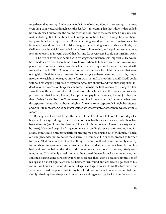waged over that reading! But he was awfully fond of reading aloud in the evenings, in a slow, even, sing-song voice, as though over the dead. It is interesting that that is how he has ended: he hires himself out to read the psalms over the dead, and at the same time he kills rats and makes blacking. But at that time I could not get rid of him, it was as though he were chemically combined with my existence. Besides, nothing would have induced him to consent to leave me. I could not live in furnished lodgings: my lodging was my private solitude, my shell, my cave, in which I concealed myself from all mankind, and Apollon seemed to me, for some reason, an integral part of that flat, and for seven years I could not turn him away.

To be two or three days behind with his wages, for instance, was impossible. He would have made such a fuss, I should not have known where to hide my head. But I was so exasperated with everyone during those days, that I made up my mind for some reason and with some object to PUNISH Apollon and not to pay him for a fortnight the wages that were owing him. I had for a long time--for the last two years--been intending to do this, simply in order to teach him not to give himself airs with me, and to show him that if I liked I could withhold his wages. I purposed to say nothing to him about it, and was purposely silent indeed, in order to score off his pride and force him to be the first to speak of his wages. Then I would take the seven roubles out of a drawer, show him I have the money put aside on purpose, but that I won't, I won't, I simply won't pay him his wages, I won't just because that is "what I wish," because "I am master, and it is for me to decide," because he has been disrespectful, because he has been rude; but if he were to ask respectfully I might be softened and give it to him, otherwise he might wait another fortnight, another three weeks, a whole month ....

But angry as I was, yet he got the better of me. I could not hold out for four days. He began as he always did begin in such cases, for there had been such cases already, there had been attempts (and it may be observed I knew all this beforehand, I knew his nasty tactics by heart). He would begin by fixing upon me an exceedingly severe stare, keeping it up for several minutes at a time, particularly on meeting me or seeing me out of the house. If I held out and pretended not to notice these stares, he would, still in silence, proceed to further tortures. All at once, A PROPOS of nothing, he would walk softly and smoothly into my room, when I was pacing up and down or reading, stand at the door, one hand behind his back and one foot behind the other, and fix upon me a stare more than severe, utterly contemptuous. If I suddenly asked him what he wanted, he would make me no answer, but continue staring at me persistently for some seconds, then, with a peculiar compression of his lips and a most significant air, deliberately turn round and deliberately go back to his room. Two hours later he would come out again and again present himself before me in the same way. It had happened that in my fury I did not even ask him what he wanted, but simply raised my head sharply and imperiously and began staring back at him. So we stared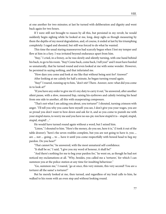at one another for two minutes; at last he turned with deliberation and dignity and went back again for two hours.

If I were still not brought to reason by all this, but persisted in my revolt, he would suddenly begin sighing while he looked at me, long, deep sighs as though measuring by them the depths of my moral degradation, and, of course, it ended at last by his triumphing completely: I raged and shouted, but still was forced to do what he wanted.

This time the usual staring manoeuvres had scarcely begun when I lost my temper and flew at him in a fury. I was irritated beyond endurance apart from him.

"Stay," I cried, in a frenzy, as he was slowly and silently turning, with one hand behind his back, to go to his room. "Stay! Come back, come back, I tell you!" and I must have bawled so unnaturally, that he turned round and even looked at me with some wonder. However, he persisted in saying nothing, and that infuriated me.

"How dare you come and look at me like that without being sent for? Answer!"

After looking at me calmly for half a minute, he began turning round again.

"Stay!" I roared, running up to him, "don't stir! There. Answer, now: what did you come in to look at?"

"If you have any order to give me it's my duty to carry it out," he answered, after another silent pause, with a slow, measured lisp, raising his eyebrows and calmly twisting his head from one side to another, all this with exasperating composure.

"That's not what I am asking you about, you torturer!" I shouted, turning crimson with anger. "I'll tell you why you came here myself: you see, I don't give you your wages, you are so proud you don't want to bow down and ask for it, and so you come to punish me with your stupid stares, to worry me and you have no sus-pic-ion how stupid it is-- stupid, stupid, stupid, stupid! ..."

He would have turned round again without a word, but I seized him.

"Listen," I shouted to him. "Here's the money, do you see, here it is," (I took it out of the table drawer); "here's the seven roubles complete, but you are not going to have it, you ... are ... not ... going ... to ... have it until you come respectfully with bowed head to beg my pardon. Do you hear?"

"That cannot be," he answered, with the most unnatural self-confidence.

"It shall be so," I said, "I give you my word of honour, it shall be!"

"And there's nothing for me to beg your pardon for," he went on, as though he had not noticed my exclamations at all. "Why, besides, you called me a 'torturer,' for which I can summon you at the police-station at any time for insulting behaviour."

"Go, summon me," I roared, "go at once, this very minute, this very second! You are a torturer all the same! a torturer!"

But he merely looked at me, then turned, and regardless of my loud calls to him, he walked to his room with an even step and without looking round.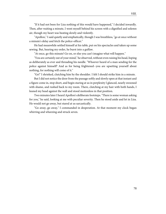"Apollon," I said quietly and emphatically, though I was breathless, "go at once without a minute's delay and fetch the police-officer."

He had meanwhile settled himself at his table, put on his spectacles and taken up some sewing. But, hearing my order, he burst into a guffaw.

"At once, go this minute! Go on, or else you can't imagine what will happen."

"You are certainly out of your mind," he observed, without even raising his head, lisping as deliberately as ever and threading his needle. "Whoever heard of a man sending for the police against himself? And as for being frightened--you are upsetting yourself about nothing, for nothing will come of it."

"Go!" I shrieked, clutching him by the shoulder. I felt I should strike him in a minute.

But I did not notice the door from the passage softly and slowly open at that instant and a figure come in, stop short, and begin staring at us in perplexity I glanced, nearly swooned with shame, and rushed back to my room. There, clutching at my hair with both hands, I leaned my head against the wall and stood motionless in that position.

Two minutes later I heard Apollon's deliberate footsteps. "There is some woman asking for you," he said, looking at me with peculiar severity. Then he stood aside and let in Liza. He would not go away, but stared at us sarcastically.

"Go away, go away," I commanded in desperation. At that moment my clock began whirring and wheezing and struck seven.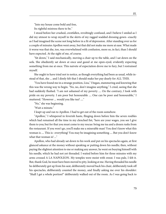"Into my house come bold and free, Its rightful mistress there to be."

I stood before her crushed, crestfallen, revoltingly confused, and I believe I smiled as I did my utmost to wrap myself in the skirts of my ragged wadded dressing-gown--exactly as I had imagined the scene not long before in a fit of depression. After standing over us for a couple of minutes Apollon went away, but that did not make me more at ease. What made it worse was that she, too, was overwhelmed with confusion, more so, in fact, than I should have expected. At the sight of me, of course.

"Sit down," I said mechanically, moving a chair up to the table, and I sat down on the sofa. She obediently sat down at once and gazed at me open-eyed, evidently expecting something from me at once. This naivete of expectation drove me to fury, but I restrained myself.

She ought to have tried not to notice, as though everything had been as usual, while instead of that, she ... and I dimly felt that I should make her pay dearly for ALL THIS.

"You have found me in a strange position, Liza," I began, stammering and knowing that this was the wrong way to begin. "No, no, don't imagine anything," I cried, seeing that she had suddenly flushed. "I am not ashamed of my poverty .... On the contrary, I look with pride on my poverty. I am poor but honourable .... One can be poor and honourable," I muttered. "However ... would you like tea? ...."

"No," she was beginning.

"Wait a minute."

I leapt up and ran to Apollon. I had to get out of the room somehow.

"Apollon," I whispered in feverish haste, flinging down before him the seven roubles which had remained all the time in my clenched fist, "here are your wages, you see I give them to you; but for that you must come to my rescue: bring me tea and a dozen rusks from the restaurant. If you won't go, you'll make me a miserable man! You don't know what this woman is .... This is--everything! You may be imagining something .... But you don't know what that woman is! ..."

Apollon, who had already sat down to his work and put on his spectacles again, at first glanced askance at the money without speaking or putting down his needle; then, without paying the slightest attention to me or making any answer, he went on busying himself with his needle, which he had not yet threaded. I waited before him for three minutes with my arms crossed A LA NAPOLEON. My temples were moist with sweat. I was pale, I felt it. But, thank God, he must have been moved to pity, looking at me. Having threaded his needle he deliberately got up from his seat, deliberately moved back his chair, deliberately took off his spectacles, deliberately counted the money, and finally asking me over his shoulder: "Shall I get a whole portion?" deliberately walked out of the room. As I was going back to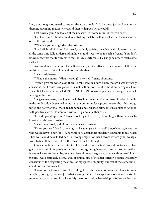Liza, the thought occurred to me on the way: shouldn't I run away just as I was in my dressing-gown, no matter where, and then let happen what would?

I sat down again. She looked at me uneasily. For some minutes we were silent.

"I will kill him," I shouted suddenly, striking the table with my fist so that the ink spurted out of the inkstand.

"What are you saying!" she cried, starting.

"I will kill him! kill him!" I shrieked, suddenly striking the table in absolute frenzy, and at the same time fully understanding how stupid it was to be in such a frenzy. "You don't know, Liza, what that torturer is to me. He is my torturer .... He has gone now to fetch some rusks; he ..."

And suddenly I burst into tears. It was an hysterical attack. How ashamed I felt in the midst of my sobs; but still I could not restrain them.

She was frightened.

"What is the matter? What is wrong?" she cried, fussing about me.

"Water, give me water, over there!" I muttered in a faint voice, though I was inwardly conscious that I could have got on very well without water and without muttering in a faint voice. But I was, what is called, PUTTING IT ON, to save appearances, though the attack was a genuine one.

She gave me water, looking at me in bewilderment. At that moment Apollon brought in the tea. It suddenly seemed to me that this commonplace, prosaic tea was horribly undignified and paltry after all that had happened, and I blushed crimson. Liza looked at Apollon with positive alarm. He went out without a glance at either of us.

"Liza, do you despise me?" I asked, looking at her fixedly, trembling with impatience to know what she was thinking.

She was confused, and did not know what to answer.

"Drink your tea," I said to her angrily. I was angry with myself, but, of course, it was she who would have to pay for it. A horrible spite against her suddenly surged up in my heart; I believe I could have killed her. To revenge myself on her I swore inwardly not to say a word to her all the time. "She is the cause of it all," I thought.

Our silence lasted for five minutes. The tea stood on the table; we did not touch it. I had got to the point of purposely refraining from beginning in order to embarrass her further; it was awkward for her to begin alone. Several times she glanced at me with mournful perplexity. I was obstinately silent. I was, of course, myself the chief sufferer, because I was fully conscious of the disgusting meanness of my spiteful stupidity, and yet at the same time I could not restrain myself.

"I want to... get away ... from there altogether," she began, to break the silence in some way, but, poor girl, that was just what she ought not to have spoken about at such a stupid moment to a man so stupid as I was. My heart positively ached with pity for her tactless and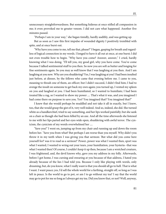unnecessary straightforwardness. But something hideous at once stifled all compassion in me; it even provoked me to greater venom. I did not care what happened. Another five minutes passed.

"Perhaps I am in your way," she began timidly, hardly audibly, and was getting up.

But as soon as I saw this first impulse of wounded dignity I positively trembled with spite, and at once burst out.

"Why have you come to me, tell me that, please?" I began, gasping for breath and regardless of logical connection in my words. I longed to have it all out at once, at one burst; I did not even trouble how to begin. "Why have you come? Answer, answer," I cried, hardly knowing what I was doing. "I'll tell you, my good girl, why you have come. You've come because I talked sentimental stuff to you then. So now you are soft as butter and longing for fine sentiments again. So you may as well know that I was laughing at you then. And I am laughing at you now. Why are you shuddering? Yes, I was laughing at you! I had been insulted just before, at dinner, by the fellows who came that evening before me. I came to you, meaning to thrash one of them, an officer; but I didn't succeed, I didn't find him; I had to avenge the insult on someone to get back my own again; you turned up, I vented my spleen on you and laughed at you. I had been humiliated, so I wanted to humiliate; I had been treated like a rag, so I wanted to show my power .... That's what it was, and you imagined I had come there on purpose to save you. Yes? You imagined that? You imagined that?"

I knew that she would perhaps be muddled and not take it all in exactly, but I knew, too, that she would grasp the gist of it, very well indeed. And so, indeed, she did. She turned white as a handkerchief, tried to say something, and her lips worked painfully; but she sank on a chair as though she had been felled by an axe. And all the time afterwards she listened to me with her lips parted and her eyes wide open, shuddering with awful terror. The cynicism, the cynicism of my words overwhelmed her ....

"Save you!" I went on, jumping up from my chair and running up and down the room before her. "Save you from what? But perhaps I am worse than you myself. Why didn't you throw it in my teeth when I was giving you that sermon: 'But what did you come here yourself for? was it to read us a sermon?' Power, power was what I wanted then, sport was what I wanted, I wanted to wring out your tears, your humiliation, your hysteria--that was what I wanted then! Of course, I couldn't keep it up then, because I am a wretched creature, I was frightened, and, the devil knows why, gave you my address in my folly. Afterwards, before I got home, I was cursing and swearing at you because of that address, I hated you already because of the lies I had told you. Because I only like playing with words, only dreaming, but, do you know, what I really want is that you should all go to hell. That is what I want. I want peace; yes, I'd sell the whole world for a farthing, straight off, so long as I was left in peace. Is the world to go to pot, or am I to go without my tea? I say that the world may go to pot for me so long as I always get my tea. Did you know that, or not? Well, anyway,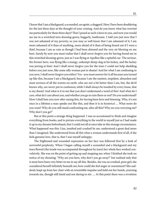I know that I am a blackguard, a scoundrel, an egoist, a sluggard. Here I have been shuddering for the last three days at the thought of your coming. And do you know what has worried me particularly for these three days? That I posed as such a hero to you, and now you would see me in a wretched torn dressing-gown, beggarly, loathsome. I told you just now that I was not ashamed of my poverty; so you may as well know that I am ashamed of it; I am more ashamed of it than of anything, more afraid of it than of being found out if I were a thief, because I am as vain as though I had been skinned and the very air blowing on me hurt. Surely by now you must realise that I shall never forgive you for having found me in this wretched dressing-gown, just as I was flying at Apollon like a spiteful cur. The saviour, the former hero, was flying like a mangy, unkempt sheep-dog at his lackey, and the lackey was jeering at him! And I shall never forgive you for the tears I could not help shedding before you just now, like some silly woman put to shame! And for what I am confessing to you now, I shall never forgive you either! Yes--you must answer for it all because you turned up like this, because I am a blackguard, because I am the nastiest, stupidest, absurdest and most envious of all the worms on earth, who are not a bit better than I am, but, the devil knows why, are never put to confusion; while I shall always be insulted by every louse, that is my doom! And what is it to me that you don't understand a word of this! And what do I care, what do I care about you, and whether you go to ruin there or not? Do you understand? How I shall hate you now after saying this, for having been here and listening. Why, it's not once in a lifetime a man speaks out like this, and then it is in hysterics! ... What more do you want? Why do you still stand confronting me, after all this? Why are you worrying me?

Why don't you go?"

But at this point a strange thing happened. I was so accustomed to think and imagine everything from books, and to picture everything in the world to myself just as I had made it up in my dreams beforehand, that I could not all at once take in this strange circumstance. What happened was this: Liza, insulted and crushed by me, understood a great deal more than I imagined. She understood from all this what a woman understands first of all, if she feels genuine love, that is, that I was myself unhappy.

The frightened and wounded expression on her face was followed first by a look of sorrowful perplexity. When I began calling myself a scoundrel and a blackguard and my tears flowed (the tirade was accompanied throughout by tears) her whole face worked convulsively. She was on the point of getting up and stopping me; when I finished she took no notice of my shouting: "Why are you here, why don't you go away?" but realised only that it must have been very bitter to me to say all this. Besides, she was so crushed, poor girl; she considered herself infinitely beneath me; how could she feel anger or resentment? She suddenly leapt up from her chair with an irresistible impulse and held out her hands, yearning towards me, though still timid and not daring to stir .... At this point there was a revulsion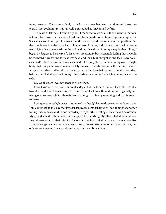in my heart too. Then she suddenly rushed to me, threw her arms round me and burst into tears. I, too, could not restrain myself, and sobbed as I never had before.

"They won't let me ... I can't be good!" I managed to articulate; then I went to the sofa, fell on it face downwards, and sobbed on it for a quarter of an hour in genuine hysterics. She came close to me, put her arms round me and stayed motionless in that position. But the trouble was that the hysterics could not go on for ever, and (I am writing the loathsome truth) lying face downwards on the sofa with my face thrust into my nasty leather pillow, I began by degrees to be aware of a far-away, involuntary but irresistible feeling that it would be awkward now for me to raise my head and look Liza straight in the face. Why was I ashamed? I don't know, but I was ashamed. The thought, too, came into my overwrought brain that our parts now were completely changed, that she was now the heroine, while I was just a crushed and humiliated creature as she had been before me that night--four days before .... And all this came into my mind during the minutes I was lying on my face on the sofa.

My God! surely I was not envious of her then.

I don't know, to this day I cannot decide, and at the time, of course, I was still less able to understand what I was feeling than now. I cannot get on without domineering and tyrannising over someone, but ... there is no explaining anything by reasoning and so it is useless to reason.

I conquered myself, however, and raised my head; I had to do so sooner or later ... and I am convinced to this day that it was just because I was ashamed to look at her that another feeling was suddenly kindled and flamed up in my heart ... a feeling of mastery and possession. My eyes gleamed with passion, and I gripped her hands tightly. How I hated her and how I was drawn to her at that minute! The one feeling intensified the other. It was almost like an act of vengeance. At first there was a look of amazement, even of terror on her face, but only for one instant. She warmly and rapturously embraced me.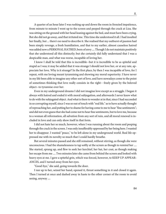A quarter of an hour later I was rushing up and down the room in frenzied impatience, from minute to minute I went up to the screen and peeped through the crack at Liza. She was sitting on the ground with her head leaning against the bed, and must have been crying. But she did not go away, and that irritated me. This time she understood it all. I had insulted her finally, but ... there's no need to describe it. She realised that my outburst of passion had been simply revenge, a fresh humiliation, and that to my earlier, almost causeless hatred was added now a PERSONAL HATRED, born of envy .... Though I do not maintain positively that she understood all this distinctly; but she certainly did fully understand that I was a despicable man, and what was worse, incapable of loving her.

I know I shall be told that this is incredible--but it is incredible to be as spiteful and stupid as I was; it may be added that it was strange I should not love her, or at any rate, appreciate her love. Why is it strange? In the first place, by then I was incapable of love, for I repeat, with me loving meant tyrannising and showing my moral superiority. I have never in my life been able to imagine any other sort of love, and have nowadays come to the point of sometimes thinking that love really consists in the right-- freely given by the beloved object--to tyrannise over her.

Even in my underground dreams I did not imagine love except as a struggle. I began it always with hatred and ended it with moral subjugation, and afterwards I never knew what to do with the subjugated object. And what is there to wonder at in that, since I had succeeded in so corrupting myself, since I was so out of touch with "real life," as to have actually thought of reproaching her, and putting her to shame for having come to me to hear "fine sentiments"; and did not even guess that she had come not to hear fine sentiments, but to love me, because to a woman all reformation, all salvation from any sort of ruin, and all moral renewal is included in love and can only show itself in that form.

I did not hate her so much, however, when I was running about the room and peeping through the crack in the screen. I was only insufferably oppressed by her being here. I wanted her to disappear. I wanted "peace," to be left alone in my underground world. Real life oppressed me with its novelty so much that I could hardly breathe.

But several minutes passed and she still remained, without stirring, as though she were unconscious. I had the shamelessness to tap softly at the screen as though to remind her .... She started, sprang up, and flew to seek her kerchief, her hat, her coat, as though making her escape from me .... Two minutes later she came from behind the screen and looked with heavy eyes at me. I gave a spiteful grin, which was forced, however, to KEEP UP APPEAR-ANCES, and I turned away from her eyes.

"Good-bye," she said, going towards the door.

I ran up to her, seized her hand, opened it, thrust something in it and closed it again. Then I turned at once and dashed away in haste to the other corner of the room to avoid seeing, anyway ....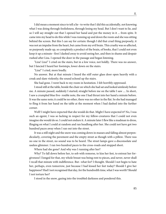I did mean a moment since to tell a lie--to write that I did this accidentally, not knowing what I was doing through foolishness, through losing my head. But I don't want to lie, and so I will say straight out that I opened her hand and put the money in it ... from spite. It came into my head to do this while I was running up and down the room and she was sitting behind the screen. But this I can say for certain: though I did that cruel thing purposely, it was not an impulse from the heart, but came from my evil brain. This cruelty was so affected, so purposely made up, so completely a product of the brain, of books, that I could not even keep it up a minute--first I dashed away to avoid seeing her, and then in shame and despair rushed after Liza. I opened the door in the passage and began listening.

"Liza! Liza!" I cried on the stairs, but in a low voice, not boldly. There was no answer, but I fancied I heard her footsteps, lower down on the stairs.

"Liza!" I cried, more loudly.

No answer. But at that minute I heard the stiff outer glass door open heavily with a creak and slam violently; the sound echoed up the stairs.

She had gone. I went back to my room in hesitation. I felt horribly oppressed.

I stood still at the table, beside the chair on which she had sat and looked aimlessly before me. A minute passed, suddenly I started; straight before me on the table I saw .... In short, I saw a crumpled blue five- rouble note, the one I had thrust into her hand a minute before. It was the same note; it could be no other, there was no other in the flat. So she had managed to fling it from her hand on the table at the moment when I had dashed into the further corner.

Well! I might have expected that she would do that. Might I have expected it? No, I was such an egoist, I was so lacking in respect for my fellow-creatures that I could not even imagine she would do so. I could not endure it. A minute later I flew like a madman to dress, flinging on what I could at random and ran headlong after her. She could not have got two hundred paces away when I ran out into the street.

It was a still night and the snow was coming down in masses and falling almost perpendicularly, covering the pavement and the empty street as though with a pillow. There was no one in the street, no sound was to be heard. The street lamps gave a disconsolate and useless glimmer. I ran two hundred paces to the cross-roads and stopped short.

Where had she gone? And why was I running after her?

Why? To fall down before her, to sob with remorse, to kiss her feet, to entreat her forgiveness! I longed for that, my whole breast was being rent to pieces, and never, never shall I recall that minute with indifference. But--what for? I thought. Should I not begin to hate her, perhaps, even tomorrow, just because I had kissed her feet today? Should I give her happiness? Had I not recognised that day, for the hundredth time, what I was worth? Should I not torture her?

I stood in the snow, gazing into the troubled darkness and pondered this.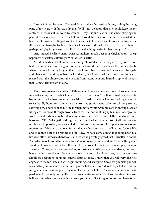"And will it not be better?" I mused fantastically, afterwards at home, stifling the living pang of my heart with fantastic dreams. "Will it not be better that she should keep the resentment of the insult for ever? Resentment--why, it is purification; it is a most stinging and painful consciousness! Tomorrow I should have defiled her soul and have exhausted her heart, while now the feeling of insult will never die in her heart, and however loathsome the filth awaiting her--the feeling of insult will elevate and purify her ... by hatred ... h'm! ... perhaps, too, by forgiveness .... Will all that make things easier for her though? ..."

And, indeed, I will ask on my own account here, an idle question: which is better--cheap happiness or exalted sufferings? Well, which is better?

So I dreamed as I sat at home that evening, almost dead with the pain in my soul. Never had I endured such suffering and remorse, yet could there have been the faintest doubt when I ran out from my lodging that I should turn back half-way? I never met Liza again and I have heard nothing of her. I will add, too, that I remained for a long time afterwards pleased with the phrase about the benefit from resentment and hatred in spite of the fact that I almost fell ill from misery.

## . . . . .

Even now, so many years later, all this is somehow a very evil memory. I have many evil memories now, but ... hadn't I better end my "Notes" here? I believe I made a mistake in beginning to write them, anyway I have felt ashamed all the time I've been writing this story; so it's hardly literature so much as a corrective punishment. Why, to tell long stories, showing how I have spoiled my life through morally rotting in my corner, through lack of fitting environment, through divorce from real life, and rankling spite in my underground world, would certainly not be interesting; a novel needs a hero, and all the traits for an antihero are EXPRESSLY gathered together here, and what matters most, it all produces an unpleasant impression, for we are all divorced from life, we are all cripples, every one of us, more or less. We are so divorced from it that we feel at once a sort of loathing for real life, and so cannot bear to be reminded of it. Why, we have come almost to looking upon real life as an effort, almost as hard work, and we are all privately agreed that it is better in books. And why do we fuss and fume sometimes? Why are we perverse and ask for something else? We don't know what ourselves. It would be the worse for us if our petulant prayers were answered. Come, try, give any one of us, for instance, a little more independence, untie our hands, widen the spheres of our activity, relax the control and we ... yes, I assure you ... we should be begging to be under control again at once. I know that you will very likely be angry with me for that, and will begin shouting and stamping. Speak for yourself, you will say, and for your miseries in your underground holes, and don't dare to say all of us-- excuse me, gentlemen, I am not justifying myself with that "all of us." As for what concerns me in particular I have only in my life carried to an extreme what you have not dared to carry halfway, and what's more, you have taken your cowardice for good sense, and have found